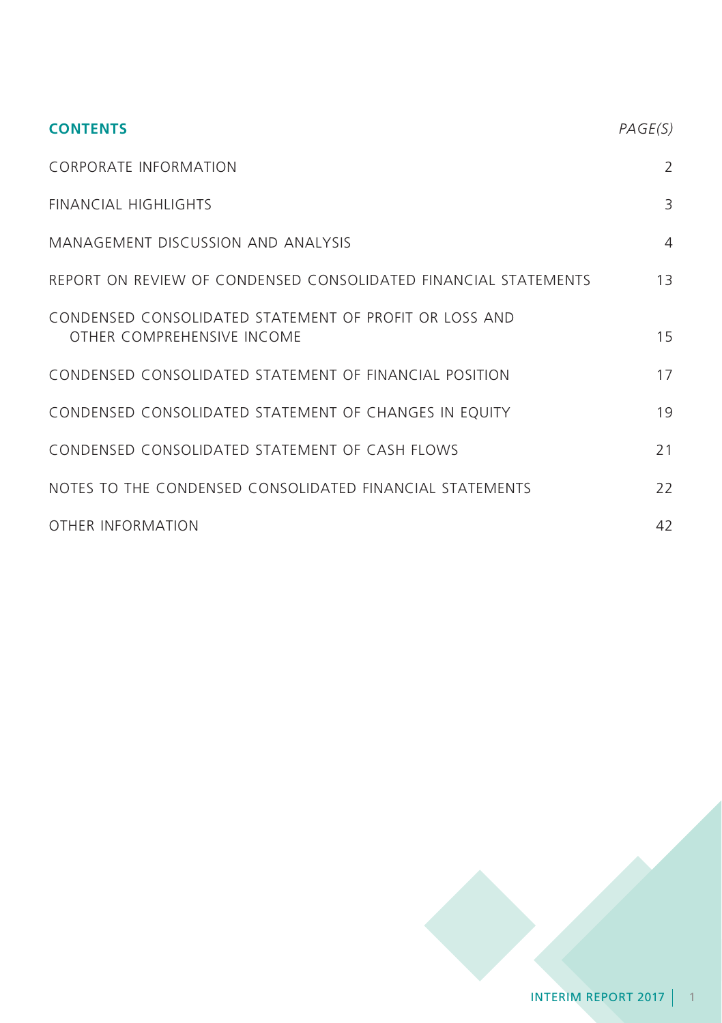| <b>CONTENTS</b>                                                                      | PAGE(S)        |
|--------------------------------------------------------------------------------------|----------------|
| <b>CORPORATE INFORMATION</b>                                                         | $\overline{2}$ |
| <b>FINANCIAL HIGHLIGHTS</b>                                                          | 3              |
| MANAGEMENT DISCUSSION AND ANALYSIS                                                   | $\overline{4}$ |
| REPORT ON REVIEW OF CONDENSED CONSOLIDATED FINANCIAL STATEMENTS                      | 13             |
| CONDENSED CONSOLIDATED STATEMENT OF PROFIT OR LOSS AND<br>OTHER COMPREHENSIVE INCOME | 15             |
| CONDENSED CONSOLIDATED STATEMENT OF FINANCIAL POSITION                               | 17             |
| CONDENSED CONSOLIDATED STATEMENT OF CHANGES IN EQUITY                                | 19             |
| CONDENSED CONSOLIDATED STATEMENT OF CASH FLOWS                                       | 21             |
| NOTES TO THE CONDENSED CONSOLIDATED FINANCIAL STATEMENTS                             | 22             |
| OTHER INFORMATION                                                                    | 42             |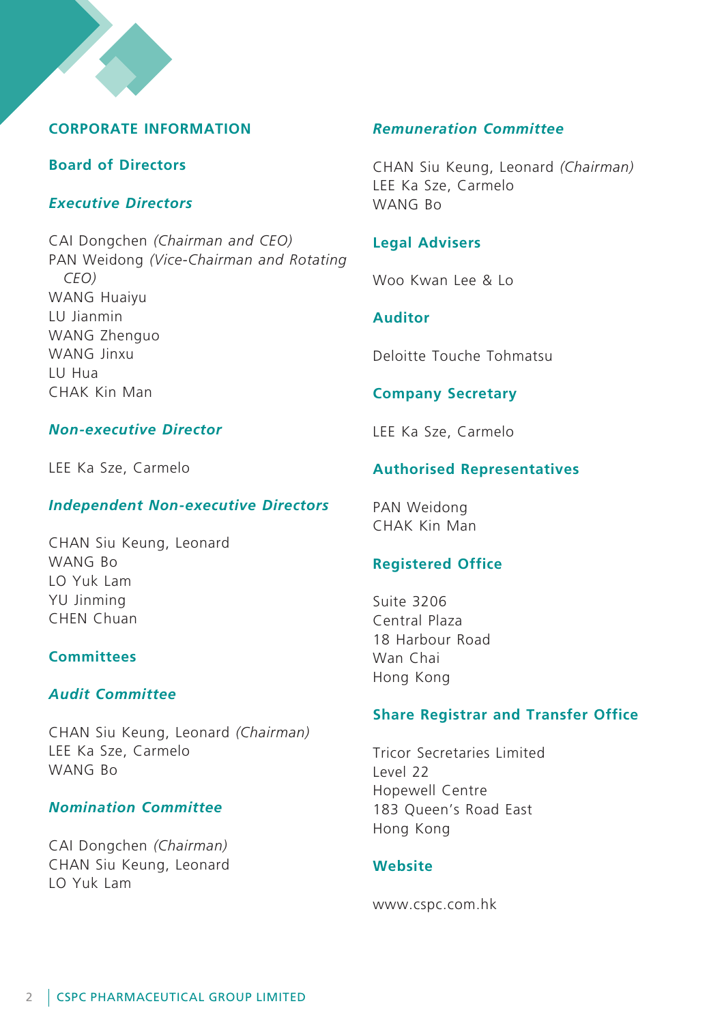# **Corporate Information**

# **Board of Directors**

# *Executive Directors*

CAI Dongchen *(Chairman and CEO)* PAN Weidong *(Vice-Chairman and Rotating CEO)* WANG Huaiyu LU Jianmin WANG Zhenguo WANG Jinxu LU Hua CHAK Kin Man

## *Non-executive Director*

LEE Ka Sze, Carmelo

# *Independent Non-executive Directors*

CHAN Siu Keung, Leonard WANG Bo LO Yuk Lam YU Jinming CHEN Chuan

# **Committees**

## *Audit Committee*

CHAN Siu Keung, Leonard *(Chairman)* LEE Ka Sze, Carmelo WANG Bo

# *Nomination Committee*

CAI Dongchen *(Chairman)* CHAN Siu Keung, Leonard LO Yuk Lam

# *Remuneration Committee*

CHAN Siu Keung, Leonard *(Chairman)* LEE Ka Sze, Carmelo WANG Bo

# **Legal Advisers**

Woo Kwan Lee & Lo

# **Auditor**

Deloitte Touche Tohmatsu

# **Company Secretary**

LEE Ka Sze, Carmelo

# **Authorised Representatives**

PAN Weidong CHAK Kin Man

# **Registered Office**

Suite 3206 Central Plaza 18 Harbour Road Wan Chai Hong Kong

# **Share Registrar and Transfer Office**

Tricor Secretaries Limited Level 22 Hopewell Centre 183 Queen's Road East Hong Kong

## **Website**

www.cspc.com.hk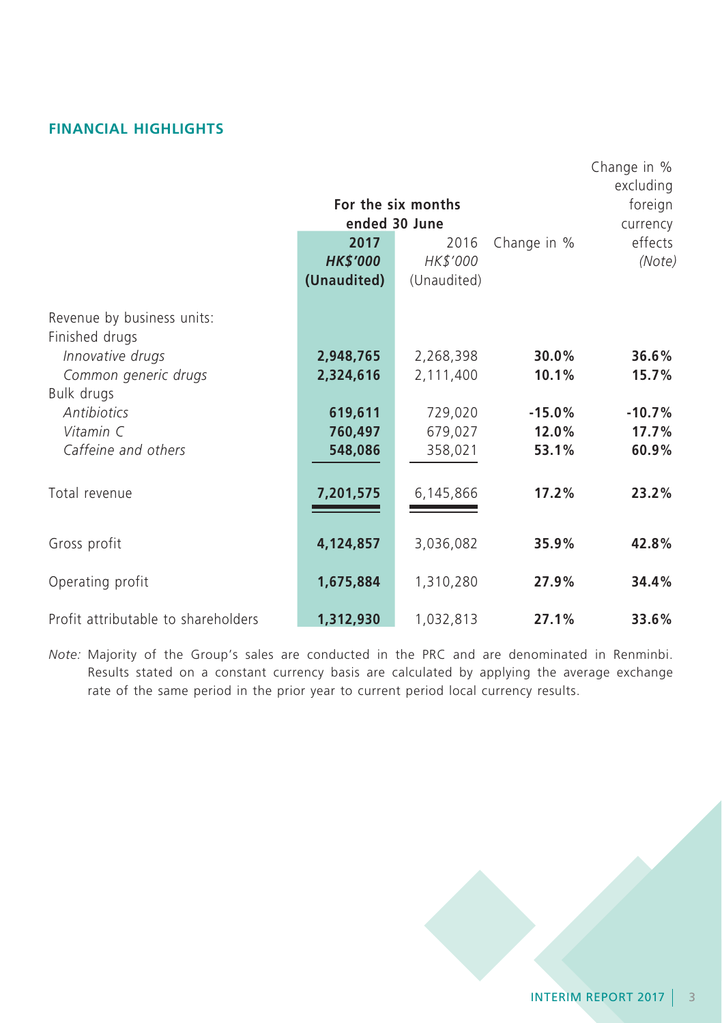# **Financial Highlights**

|                                     |                 |                    |             | Change in %<br>excluding |
|-------------------------------------|-----------------|--------------------|-------------|--------------------------|
|                                     |                 | For the six months |             | foreign                  |
|                                     | ended 30 June   | currency           |             |                          |
|                                     | 2017            | 2016               | Change in % | effects                  |
|                                     | <b>HK\$'000</b> | HK\$'000           |             | (Note)                   |
|                                     | (Unaudited)     | (Unaudited)        |             |                          |
| Revenue by business units:          |                 |                    |             |                          |
| Finished drugs                      |                 |                    |             |                          |
| Innovative drugs                    | 2,948,765       | 2,268,398          | 30.0%       | 36.6%                    |
| Common generic drugs                | 2,324,616       | 2,111,400          | 10.1%       | 15.7%                    |
| Bulk drugs                          |                 |                    |             |                          |
| <b>Antibiotics</b>                  | 619,611         | 729,020            | $-15.0%$    | $-10.7%$                 |
| Vitamin C                           | 760,497         | 679,027            | 12.0%       | 17.7%                    |
| Caffeine and others                 | 548,086         | 358,021            | 53.1%       | 60.9%                    |
| Total revenue                       | 7,201,575       | 6,145,866          | 17.2%       | 23.2%                    |
|                                     |                 |                    |             |                          |
| Gross profit                        | 4,124,857       | 3,036,082          | 35.9%       | 42.8%                    |
|                                     |                 |                    |             |                          |
| Operating profit                    | 1,675,884       | 1,310,280          | 27.9%       | 34.4%                    |
| Profit attributable to shareholders | 1,312,930       | 1,032,813          | 27.1%       | 33.6%                    |

*Note:* Majority of the Group's sales are conducted in the PRC and are denominated in Renminbi. Results stated on a constant currency basis are calculated by applying the average exchange rate of the same period in the prior year to current period local currency results.

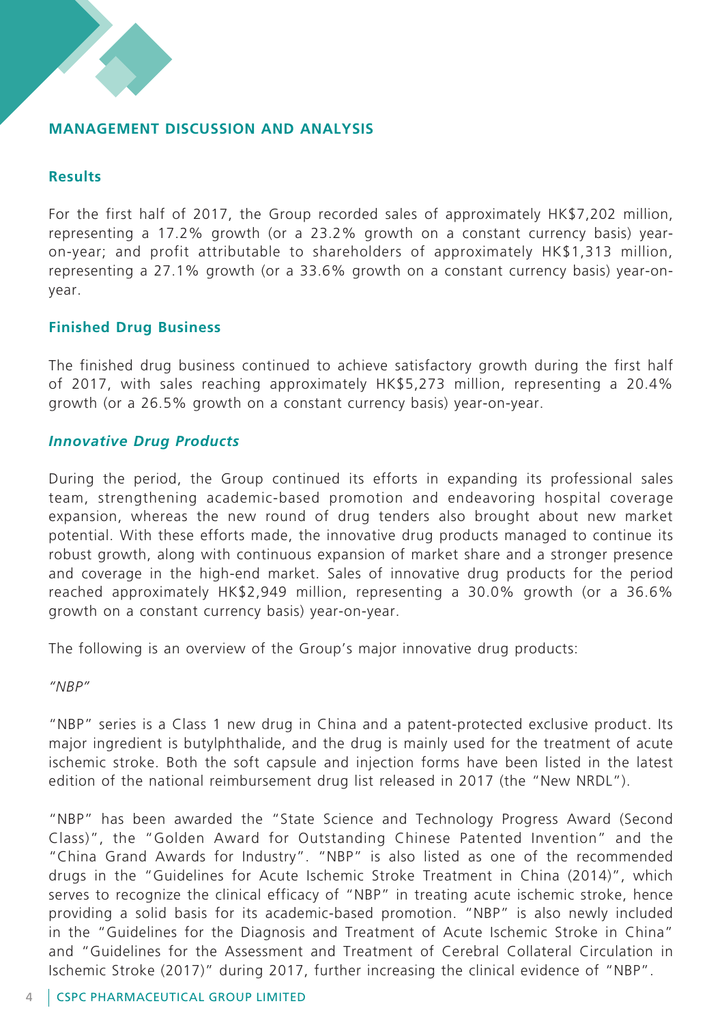## **MANAGEMENT DISCUSSION AND ANALYSIS**

## **Results**

For the first half of 2017, the Group recorded sales of approximately HK\$7,202 million, representing a 17.2% growth (or a 23.2% growth on a constant currency basis) yearon-year; and profit attributable to shareholders of approximately HK\$1,313 million, representing a 27.1% growth (or a 33.6% growth on a constant currency basis) year-onyear.

## **Finished Drug Business**

The finished drug business continued to achieve satisfactory growth during the first half of 2017, with sales reaching approximately HK\$5,273 million, representing a 20.4% growth (or a 26.5% growth on a constant currency basis) year-on-year.

### *Innovative Drug Products*

During the period, the Group continued its efforts in expanding its professional sales team, strengthening academic-based promotion and endeavoring hospital coverage expansion, whereas the new round of drug tenders also brought about new market potential. With these efforts made, the innovative drug products managed to continue its robust growth, along with continuous expansion of market share and a stronger presence and coverage in the high-end market. Sales of innovative drug products for the period reached approximately HK\$2,949 million, representing a 30.0% growth (or a 36.6% growth on a constant currency basis) year-on-year.

The following is an overview of the Group's major innovative drug products:

*"NBP"*

"NBP" series is a Class 1 new drug in China and a patent-protected exclusive product. Its major ingredient is butylphthalide, and the drug is mainly used for the treatment of acute ischemic stroke. Both the soft capsule and injection forms have been listed in the latest edition of the national reimbursement drug list released in 2017 (the "New NRDL").

"NBP" has been awarded the "State Science and Technology Progress Award (Second Class)", the "Golden Award for Outstanding Chinese Patented Invention" and the "China Grand Awards for Industry". "NBP" is also listed as one of the recommended drugs in the "Guidelines for Acute Ischemic Stroke Treatment in China (2014)", which serves to recognize the clinical efficacy of "NBP" in treating acute ischemic stroke, hence providing a solid basis for its academic-based promotion. "NBP" is also newly included in the "Guidelines for the Diagnosis and Treatment of Acute Ischemic Stroke in China" and "Guidelines for the Assessment and Treatment of Cerebral Collateral Circulation in Ischemic Stroke (2017)" during 2017, further increasing the clinical evidence of "NBP".

### 4 CSPC PHARMACEUTICAL GROUP LIMITED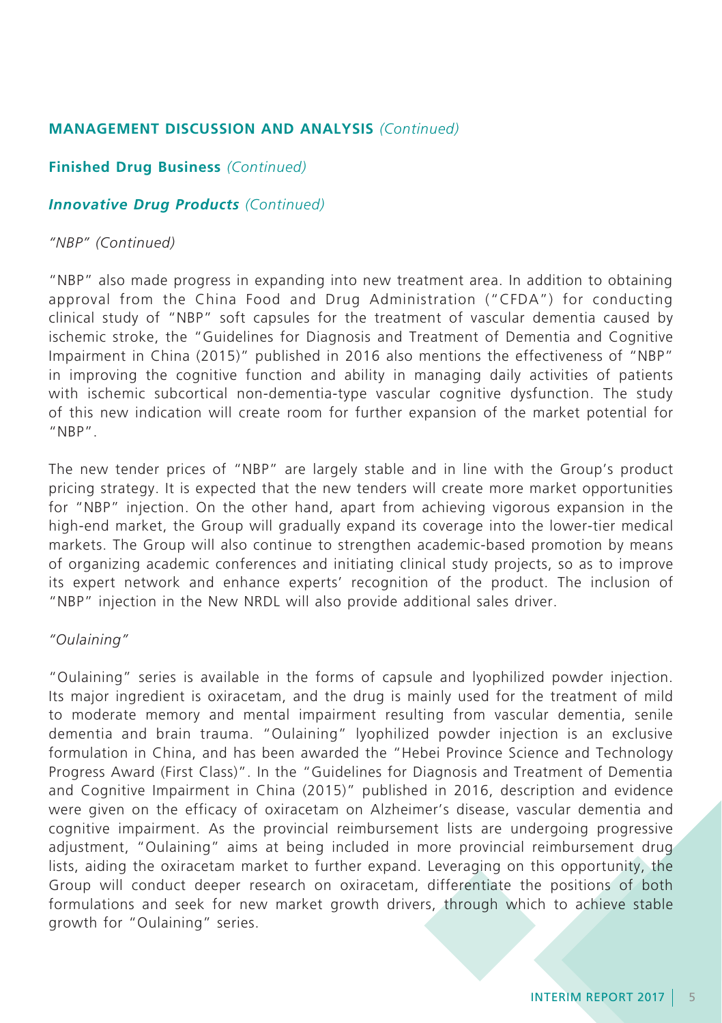## **Finished Drug Business** *(Continued)*

## *Innovative Drug Products (Continued)*

### *"NBP" (Continued)*

"NBP" also made progress in expanding into new treatment area. In addition to obtaining approval from the China Food and Drug Administration ("CFDA") for conducting clinical study of "NBP" soft capsules for the treatment of vascular dementia caused by ischemic stroke, the "Guidelines for Diagnosis and Treatment of Dementia and Cognitive Impairment in China (2015)" published in 2016 also mentions the effectiveness of "NBP" in improving the cognitive function and ability in managing daily activities of patients with ischemic subcortical non-dementia-type vascular cognitive dysfunction. The study of this new indication will create room for further expansion of the market potential for "NBP".

The new tender prices of "NBP" are largely stable and in line with the Group's product pricing strategy. It is expected that the new tenders will create more market opportunities for "NBP" injection. On the other hand, apart from achieving vigorous expansion in the high-end market, the Group will gradually expand its coverage into the lower-tier medical markets. The Group will also continue to strengthen academic-based promotion by means of organizing academic conferences and initiating clinical study projects, so as to improve its expert network and enhance experts' recognition of the product. The inclusion of "NBP" injection in the New NRDL will also provide additional sales driver.

### *"Oulaining"*

"Oulaining" series is available in the forms of capsule and lyophilized powder injection. Its major ingredient is oxiracetam, and the drug is mainly used for the treatment of mild to moderate memory and mental impairment resulting from vascular dementia, senile dementia and brain trauma. "Oulaining" lyophilized powder injection is an exclusive formulation in China, and has been awarded the "Hebei Province Science and Technology Progress Award (First Class)". In the "Guidelines for Diagnosis and Treatment of Dementia and Cognitive Impairment in China (2015)" published in 2016, description and evidence were given on the efficacy of oxiracetam on Alzheimer's disease, vascular dementia and cognitive impairment. As the provincial reimbursement lists are undergoing progressive adjustment, "Oulaining" aims at being included in more provincial reimbursement drug lists, aiding the oxiracetam market to further expand. Leveraging on this opportunity, the Group will conduct deeper research on oxiracetam, differentiate the positions of both formulations and seek for new market growth drivers, through which to achieve stable growth for "Oulaining" series.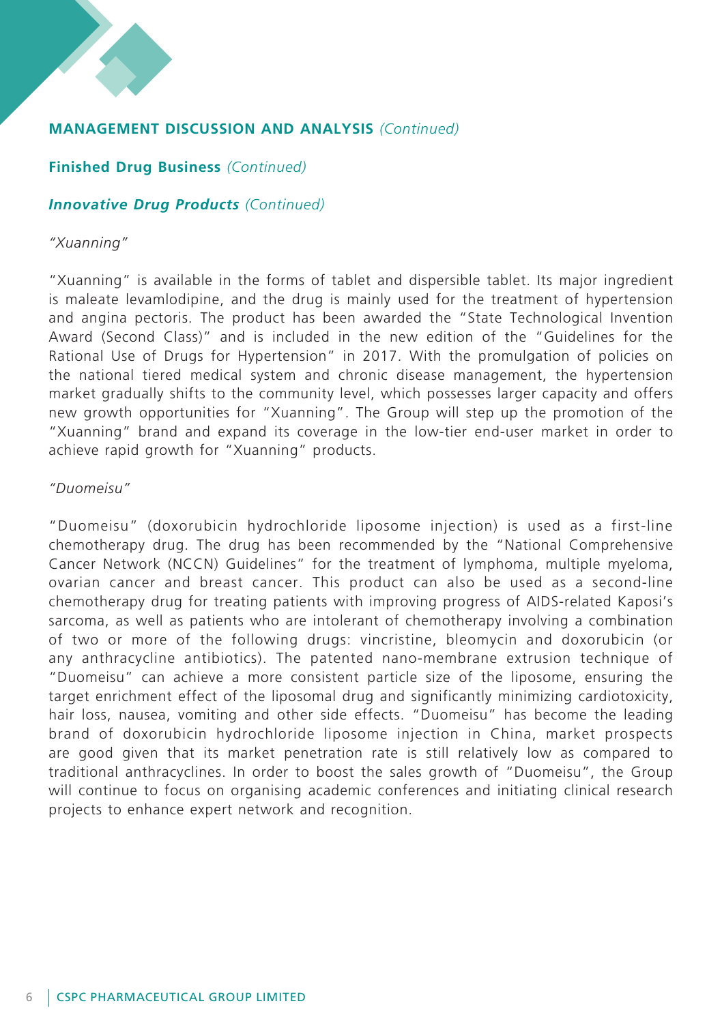**Finished Drug Business** *(Continued)*

## *Innovative Drug Products (Continued)*

### *"Xuanning"*

"Xuanning" is available in the forms of tablet and dispersible tablet. Its major ingredient is maleate levamlodipine, and the drug is mainly used for the treatment of hypertension and angina pectoris. The product has been awarded the "State Technological Invention Award (Second Class)" and is included in the new edition of the "Guidelines for the Rational Use of Drugs for Hypertension" in 2017. With the promulgation of policies on the national tiered medical system and chronic disease management, the hypertension market gradually shifts to the community level, which possesses larger capacity and offers new growth opportunities for "Xuanning". The Group will step up the promotion of the "Xuanning" brand and expand its coverage in the low-tier end-user market in order to achieve rapid growth for "Xuanning" products.

## *"Duomeisu"*

"Duomeisu" (doxorubicin hydrochloride liposome injection) is used as a first-line chemotherapy drug. The drug has been recommended by the "National Comprehensive Cancer Network (NCCN) Guidelines" for the treatment of lymphoma, multiple myeloma, ovarian cancer and breast cancer. This product can also be used as a second-line chemotherapy drug for treating patients with improving progress of AIDS-related Kaposi's sarcoma, as well as patients who are intolerant of chemotherapy involving a combination of two or more of the following drugs: vincristine, bleomycin and doxorubicin (or any anthracycline antibiotics). The patented nano-membrane extrusion technique of "Duomeisu" can achieve a more consistent particle size of the liposome, ensuring the target enrichment effect of the liposomal drug and significantly minimizing cardiotoxicity, hair loss, nausea, vomiting and other side effects. "Duomeisu" has become the leading brand of doxorubicin hydrochloride liposome injection in China, market prospects are good given that its market penetration rate is still relatively low as compared to traditional anthracyclines. In order to boost the sales growth of "Duomeisu", the Group will continue to focus on organising academic conferences and initiating clinical research projects to enhance expert network and recognition.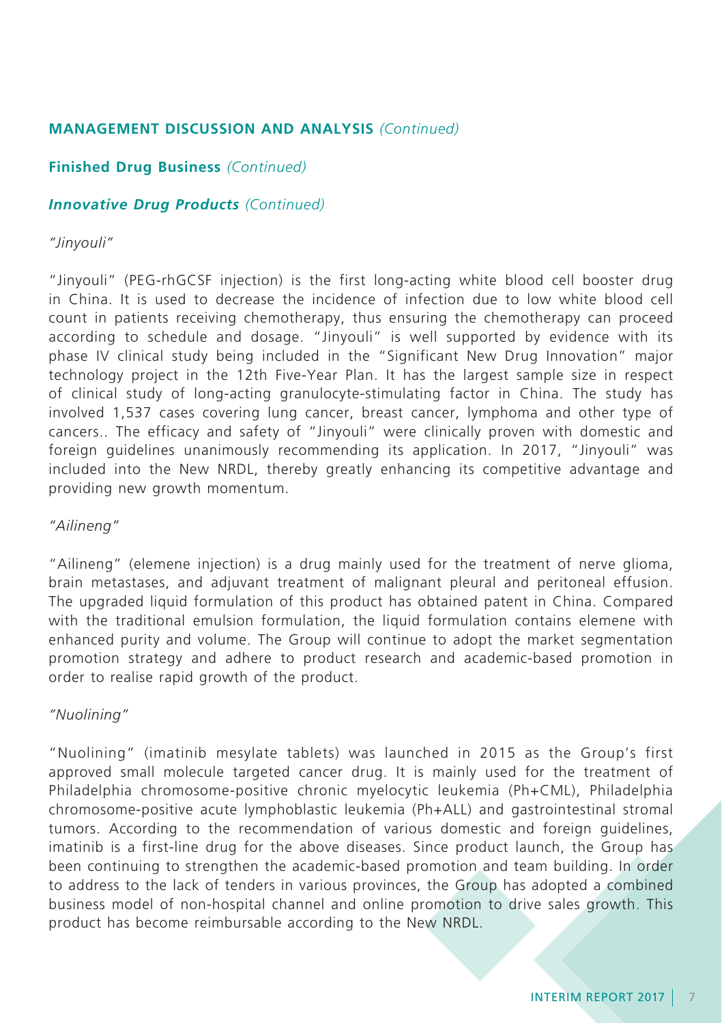## **Finished Drug Business** *(Continued)*

## *Innovative Drug Products (Continued)*

## *"Jinyouli"*

"Jinyouli" (PEG-rhGCSF injection) is the first long-acting white blood cell booster drug in China. It is used to decrease the incidence of infection due to low white blood cell count in patients receiving chemotherapy, thus ensuring the chemotherapy can proceed according to schedule and dosage. "Jinyouli" is well supported by evidence with its phase IV clinical study being included in the "Significant New Drug Innovation" major technology project in the 12th Five-Year Plan. It has the largest sample size in respect of clinical study of long-acting granulocyte-stimulating factor in China. The study has involved 1,537 cases covering lung cancer, breast cancer, lymphoma and other type of cancers.. The efficacy and safety of "Jinyouli" were clinically proven with domestic and foreign guidelines unanimously recommending its application. In 2017, "Jinyouli" was included into the New NRDL, thereby greatly enhancing its competitive advantage and providing new growth momentum.

## *"Ailineng"*

"Ailineng" (elemene injection) is a drug mainly used for the treatment of nerve glioma, brain metastases, and adjuvant treatment of malignant pleural and peritoneal effusion. The upgraded liquid formulation of this product has obtained patent in China. Compared with the traditional emulsion formulation, the liquid formulation contains elemene with enhanced purity and volume. The Group will continue to adopt the market segmentation promotion strategy and adhere to product research and academic-based promotion in order to realise rapid growth of the product.

## *"Nuolining"*

"Nuolining" (imatinib mesylate tablets) was launched in 2015 as the Group's first approved small molecule targeted cancer drug. It is mainly used for the treatment of Philadelphia chromosome-positive chronic myelocytic leukemia (Ph+CML), Philadelphia chromosome-positive acute lymphoblastic leukemia (Ph+ALL) and gastrointestinal stromal tumors. According to the recommendation of various domestic and foreign guidelines, imatinib is a first-line drug for the above diseases. Since product launch, the Group has been continuing to strengthen the academic-based promotion and team building. In order to address to the lack of tenders in various provinces, the Group has adopted a combined business model of non-hospital channel and online promotion to drive sales growth. This product has become reimbursable according to the New NRDL.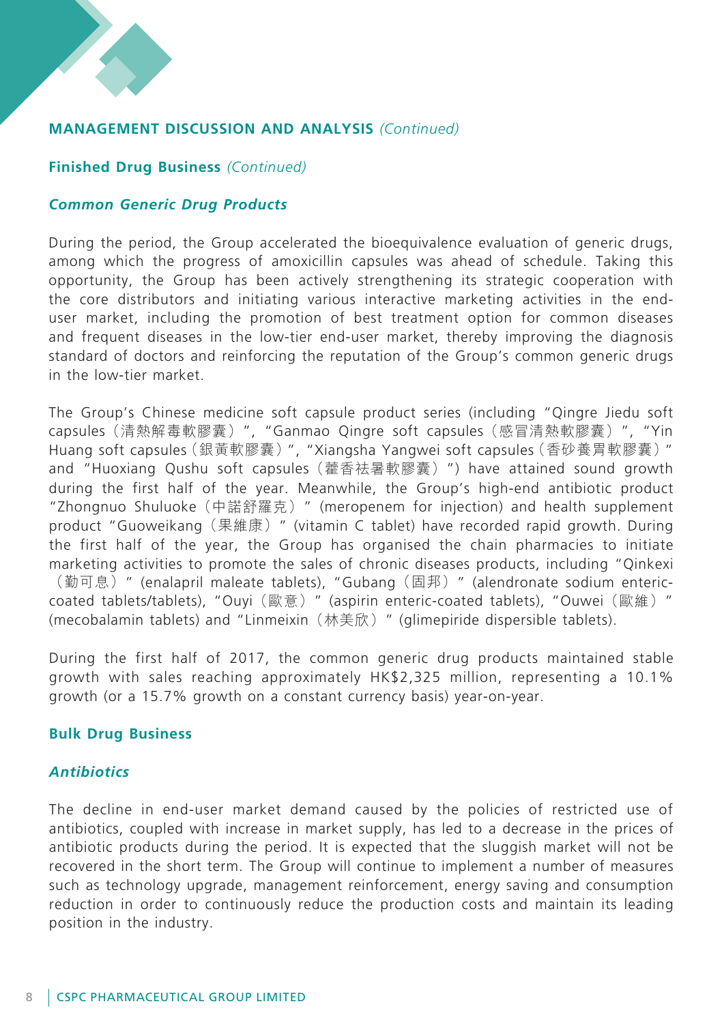## **Finished Drug Business** *(Continued)*

## *Common Generic Drug Products*

During the period, the Group accelerated the bioequivalence evaluation of generic drugs, among which the progress of amoxicillin capsules was ahead of schedule. Taking this opportunity, the Group has been actively strengthening its strategic cooperation with the core distributors and initiating various interactive marketing activities in the enduser market, including the promotion of best treatment option for common diseases and frequent diseases in the low-tier end-user market, thereby improving the diagnosis standard of doctors and reinforcing the reputation of the Group's common generic drugs in the low-tier market.

The Group's Chinese medicine soft capsule product series (including "Qingre Jiedu soft capsules(清熱解毒軟膠囊)", "Ganmao Qingre soft capsules(感冒清熱軟膠囊)", "Yin Huang soft capsules(銀黃軟膠囊)", "Xiangsha Yangwei soft capsules(香砂養胃軟膠囊)" and "Huoxiang Qushu soft capsules(藿香祛暑軟膠囊)") have attained sound growth during the first half of the year. Meanwhile, the Group's high-end antibiotic product "Zhongnuo Shuluoke(中諾舒羅克)" (meropenem for injection) and health supplement product "Guoweikang(果維康)" (vitamin C tablet) have recorded rapid growth. During the first half of the year, the Group has organised the chain pharmacies to initiate marketing activities to promote the sales of chronic diseases products, including "Qinkexi (勤可息)" (enalapril maleate tablets), "Gubang(固邦)" (alendronate sodium entericcoated tablets/tablets), "Ouyi (歐意) " (aspirin enteric-coated tablets), "Ouwei (歐維) " (mecobalamin tablets) and "Linmeixin(林美欣)" (glimepiride dispersible tablets).

During the first half of 2017, the common generic drug products maintained stable growth with sales reaching approximately HK\$2,325 million, representing a 10.1% growth (or a 15.7% growth on a constant currency basis) year-on-year.

### **Bulk Drug Business**

### *Antibiotics*

The decline in end-user market demand caused by the policies of restricted use of antibiotics, coupled with increase in market supply, has led to a decrease in the prices of antibiotic products during the period. It is expected that the sluggish market will not be recovered in the short term. The Group will continue to implement a number of measures such as technology upgrade, management reinforcement, energy saving and consumption reduction in order to continuously reduce the production costs and maintain its leading position in the industry.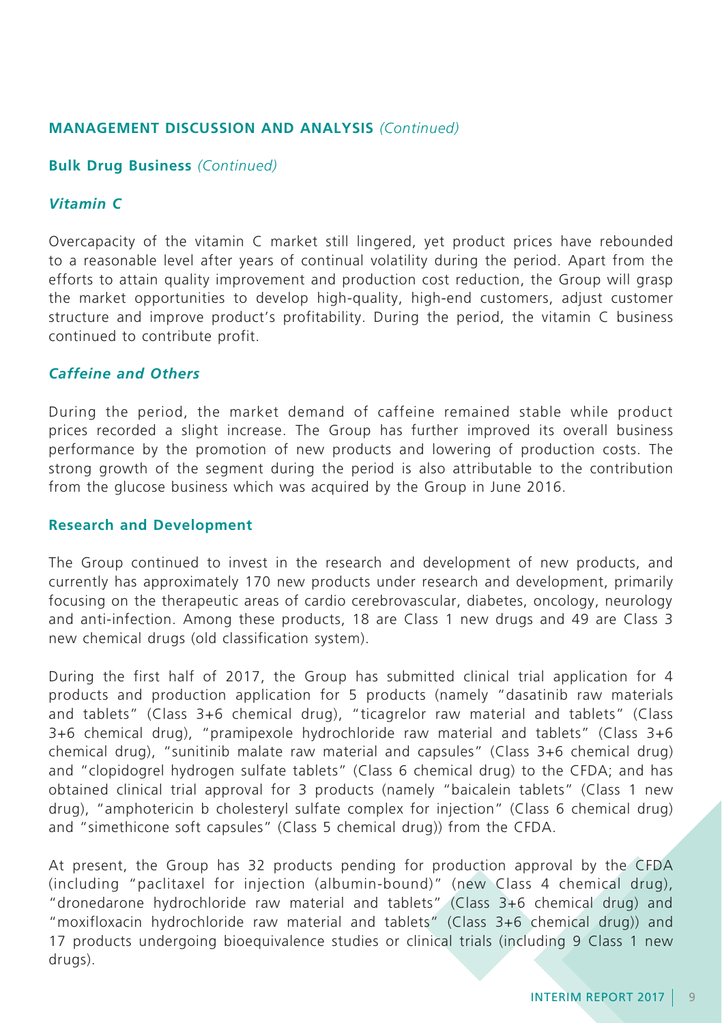### **Bulk Drug Business** *(Continued)*

## *Vitamin C*

Overcapacity of the vitamin C market still lingered, yet product prices have rebounded to a reasonable level after years of continual volatility during the period. Apart from the efforts to attain quality improvement and production cost reduction, the Group will grasp the market opportunities to develop high-quality, high-end customers, adjust customer structure and improve product's profitability. During the period, the vitamin C business continued to contribute profit.

## *Caffeine and Others*

During the period, the market demand of caffeine remained stable while product prices recorded a slight increase. The Group has further improved its overall business performance by the promotion of new products and lowering of production costs. The strong growth of the segment during the period is also attributable to the contribution from the glucose business which was acquired by the Group in June 2016.

### **Research and Development**

The Group continued to invest in the research and development of new products, and currently has approximately 170 new products under research and development, primarily focusing on the therapeutic areas of cardio cerebrovascular, diabetes, oncology, neurology and anti-infection. Among these products, 18 are Class 1 new drugs and 49 are Class 3 new chemical drugs (old classification system).

During the first half of 2017, the Group has submitted clinical trial application for 4 products and production application for 5 products (namely "dasatinib raw materials and tablets" (Class 3+6 chemical drug), "ticagrelor raw material and tablets" (Class 3+6 chemical drug), "pramipexole hydrochloride raw material and tablets" (Class 3+6 chemical drug), "sunitinib malate raw material and capsules" (Class 3+6 chemical drug) and "clopidogrel hydrogen sulfate tablets" (Class 6 chemical drug) to the CFDA; and has obtained clinical trial approval for 3 products (namely "baicalein tablets" (Class 1 new drug), "amphotericin b cholesteryl sulfate complex for injection" (Class 6 chemical drug) and "simethicone soft capsules" (Class 5 chemical drug)) from the CFDA.

At present, the Group has 32 products pending for production approval by the CFDA (including "paclitaxel for injection (albumin-bound)" (new Class 4 chemical drug), "dronedarone hydrochloride raw material and tablets" (Class 3+6 chemical drug) and "moxifloxacin hydrochloride raw material and tablets" (Class 3+6 chemical drug)) and 17 products undergoing bioequivalence studies or clinical trials (including 9 Class 1 new drugs).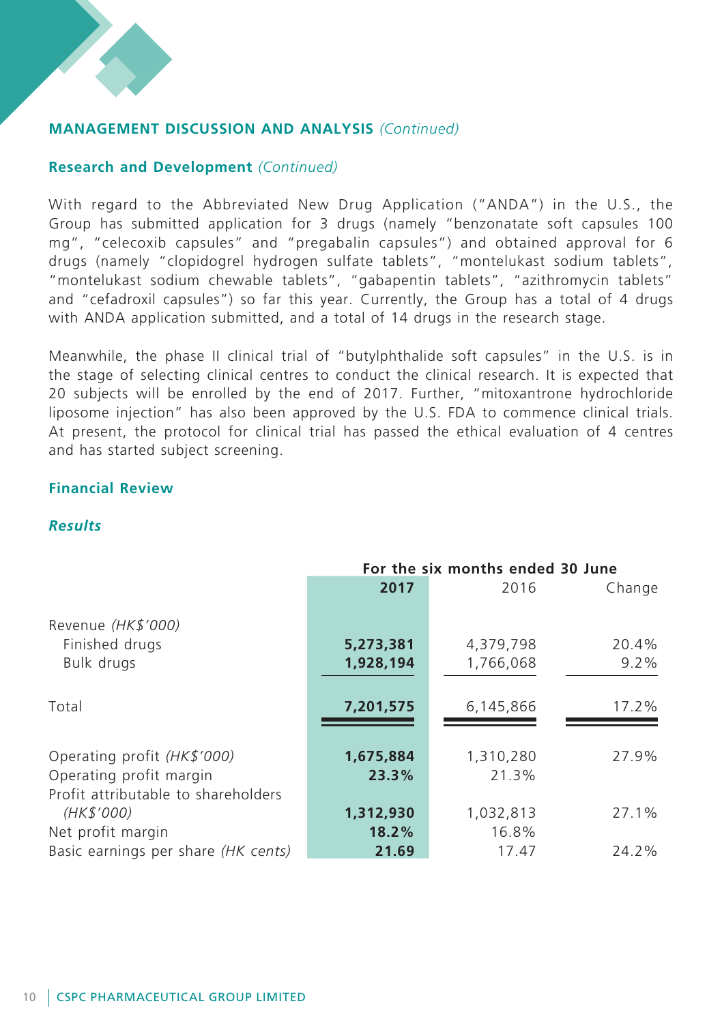## **Research and Development** *(Continued)*

With regard to the Abbreviated New Drug Application ("ANDA") in the U.S., the Group has submitted application for 3 drugs (namely "benzonatate soft capsules 100 mg", "celecoxib capsules" and "pregabalin capsules") and obtained approval for 6 drugs (namely "clopidogrel hydrogen sulfate tablets", "montelukast sodium tablets", "montelukast sodium chewable tablets", "gabapentin tablets", "azithromycin tablets" and "cefadroxil capsules") so far this year. Currently, the Group has a total of 4 drugs with ANDA application submitted, and a total of 14 drugs in the research stage.

Meanwhile, the phase II clinical trial of "butylphthalide soft capsules" in the U.S. is in the stage of selecting clinical centres to conduct the clinical research. It is expected that 20 subjects will be enrolled by the end of 2017. Further, "mitoxantrone hydrochloride liposome injection" has also been approved by the U.S. FDA to commence clinical trials. At present, the protocol for clinical trial has passed the ethical evaluation of 4 centres and has started subject screening.

### **Financial Review**

## *Results*

|                                     | For the six months ended 30 June |           |         |  |  |
|-------------------------------------|----------------------------------|-----------|---------|--|--|
|                                     | 2017                             | 2016      | Change  |  |  |
|                                     |                                  |           |         |  |  |
| Revenue (HK\$'000)                  |                                  |           |         |  |  |
| Finished drugs                      | 5,273,381                        | 4,379,798 | 20.4%   |  |  |
| Bulk drugs                          | 1,928,194                        | 1,766,068 | $9.2\%$ |  |  |
|                                     |                                  |           |         |  |  |
| Total                               | 7,201,575                        | 6,145,866 | 17.2%   |  |  |
|                                     |                                  |           |         |  |  |
|                                     |                                  |           |         |  |  |
| Operating profit (HK\$'000)         | 1,675,884                        | 1,310,280 | 27.9%   |  |  |
| Operating profit margin             | 23.3%                            | 21.3%     |         |  |  |
| Profit attributable to shareholders |                                  |           |         |  |  |
| (HK\$'000)                          | 1,312,930                        | 1,032,813 | 27.1%   |  |  |
| Net profit margin                   | 18.2%                            | 16.8%     |         |  |  |
| Basic earnings per share (HK cents) | 21.69                            | 17.47     | 24.2%   |  |  |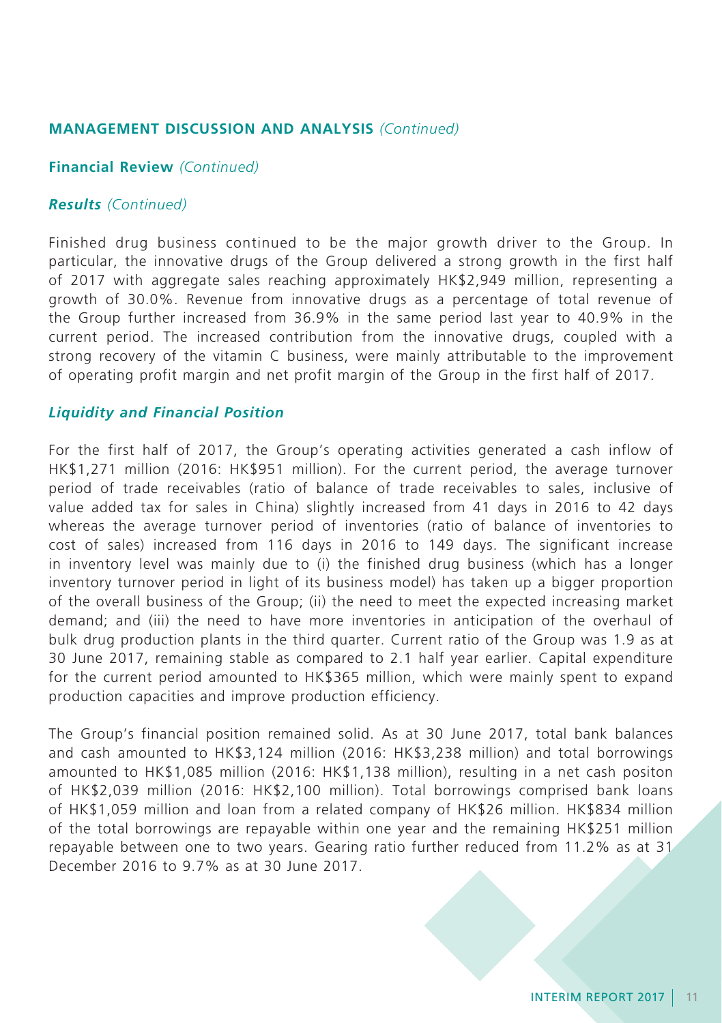### **Financial Review** *(Continued)*

### *Results (Continued)*

Finished drug business continued to be the major growth driver to the Group. In particular, the innovative drugs of the Group delivered a strong growth in the first half of 2017 with aggregate sales reaching approximately HK\$2,949 million, representing a growth of 30.0%. Revenue from innovative drugs as a percentage of total revenue of the Group further increased from 36.9% in the same period last year to 40.9% in the current period. The increased contribution from the innovative drugs, coupled with a strong recovery of the vitamin C business, were mainly attributable to the improvement of operating profit margin and net profit margin of the Group in the first half of 2017.

### *Liquidity and Financial Position*

For the first half of 2017, the Group's operating activities generated a cash inflow of HK\$1,271 million (2016: HK\$951 million). For the current period, the average turnover period of trade receivables (ratio of balance of trade receivables to sales, inclusive of value added tax for sales in China) slightly increased from 41 days in 2016 to 42 days whereas the average turnover period of inventories (ratio of balance of inventories to cost of sales) increased from 116 days in 2016 to 149 days. The significant increase in inventory level was mainly due to (i) the finished drug business (which has a longer inventory turnover period in light of its business model) has taken up a bigger proportion of the overall business of the Group; (ii) the need to meet the expected increasing market demand; and (iii) the need to have more inventories in anticipation of the overhaul of bulk drug production plants in the third quarter. Current ratio of the Group was 1.9 as at 30 June 2017, remaining stable as compared to 2.1 half year earlier. Capital expenditure for the current period amounted to HK\$365 million, which were mainly spent to expand production capacities and improve production efficiency.

The Group's financial position remained solid. As at 30 June 2017, total bank balances and cash amounted to HK\$3,124 million (2016: HK\$3,238 million) and total borrowings amounted to HK\$1,085 million (2016: HK\$1,138 million), resulting in a net cash positon of HK\$2,039 million (2016: HK\$2,100 million). Total borrowings comprised bank loans of HK\$1,059 million and loan from a related company of HK\$26 million. HK\$834 million of the total borrowings are repayable within one year and the remaining HK\$251 million repayable between one to two years. Gearing ratio further reduced from 11.2% as at 31 December 2016 to 9.7% as at 30 June 2017.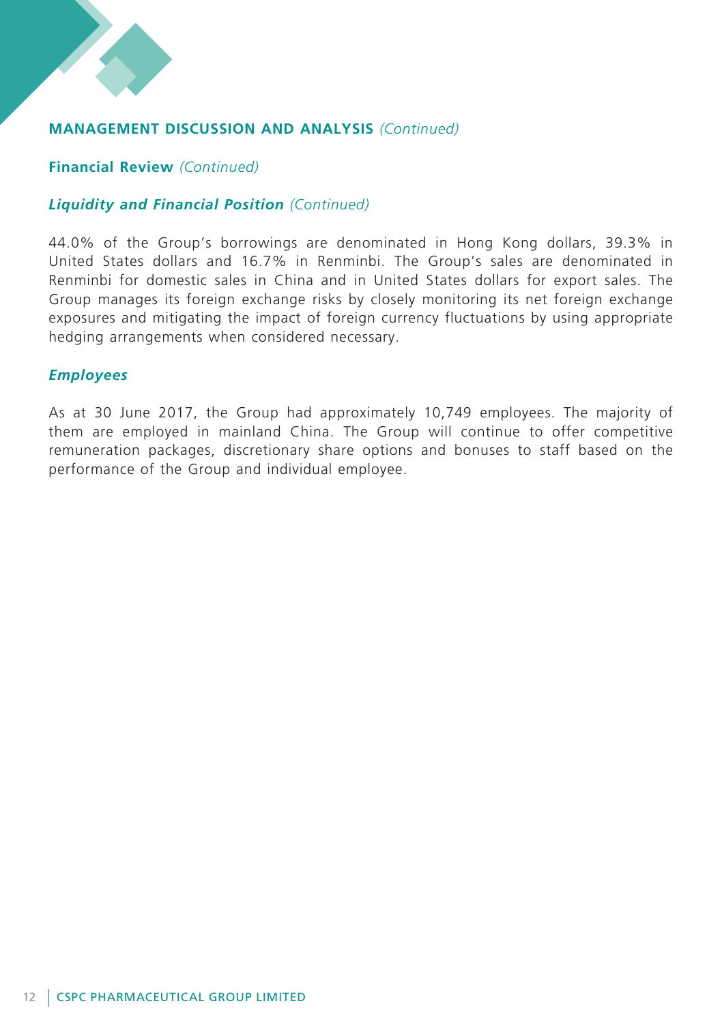

## **Financial Review** *(Continued)*

## *Liquidity and Financial Position (Continued)*

44.0% of the Group's borrowings are denominated in Hong Kong dollars, 39.3% in United States dollars and 16.7% in Renminbi. The Group's sales are denominated in Renminbi for domestic sales in China and in United States dollars for export sales. The Group manages its foreign exchange risks by closely monitoring its net foreign exchange exposures and mitigating the impact of foreign currency fluctuations by using appropriate hedging arrangements when considered necessary.

## *Employees*

As at 30 June 2017, the Group had approximately 10,749 employees. The majority of them are employed in mainland China. The Group will continue to offer competitive remuneration packages, discretionary share options and bonuses to staff based on the performance of the Group and individual employee.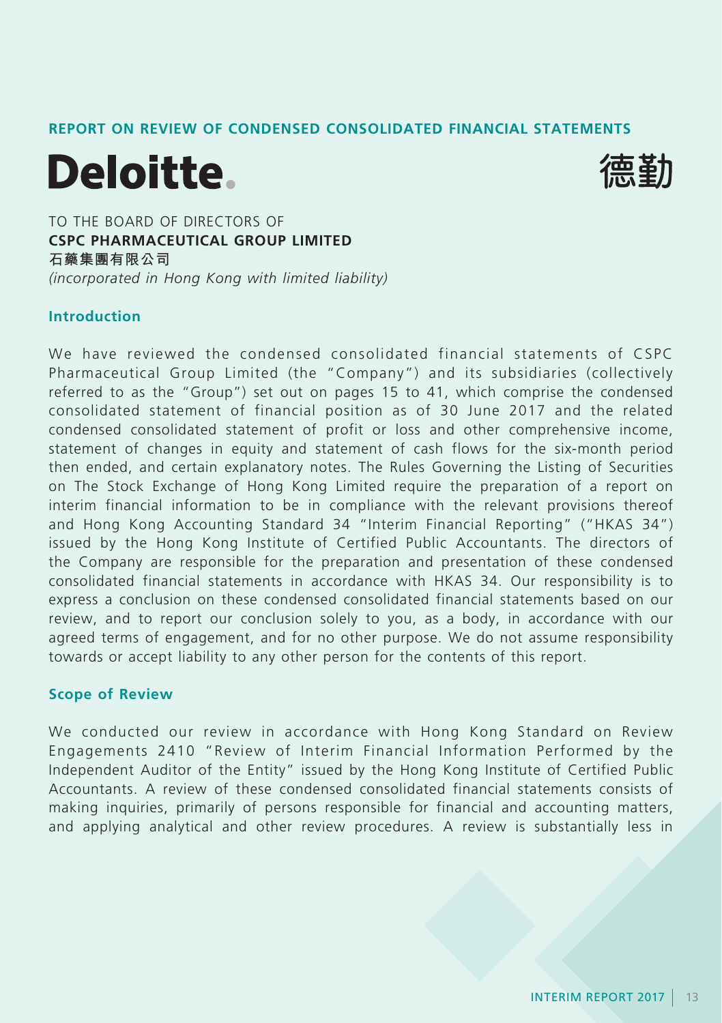## **REPORT ON REVIEW OF CONDENSED CONSOLIDATED FINANCIAL STATEMENTS**





TO THE BOARD OF DIRECTORS OF **CSPC PHARMACEUTICAL GROUP LIMITED 石藥集團有限公司** *(incorporated in Hong Kong with limited liability)*

### **Introduction**

We have reviewed the condensed consolidated financial statements of CSPC Pharmaceutical Group Limited (the "Company") and its subsidiaries (collectively referred to as the "Group") set out on pages 15 to 41, which comprise the condensed consolidated statement of financial position as of 30 June 2017 and the related condensed consolidated statement of profit or loss and other comprehensive income, statement of changes in equity and statement of cash flows for the six-month period then ended, and certain explanatory notes. The Rules Governing the Listing of Securities on The Stock Exchange of Hong Kong Limited require the preparation of a report on interim financial information to be in compliance with the relevant provisions thereof and Hong Kong Accounting Standard 34 "Interim Financial Reporting" ("HKAS 34") issued by the Hong Kong Institute of Certified Public Accountants. The directors of the Company are responsible for the preparation and presentation of these condensed consolidated financial statements in accordance with HKAS 34. Our responsibility is to express a conclusion on these condensed consolidated financial statements based on our review, and to report our conclusion solely to you, as a body, in accordance with our agreed terms of engagement, and for no other purpose. We do not assume responsibility towards or accept liability to any other person for the contents of this report.

## **Scope of Review**

We conducted our review in accordance with Hong Kong Standard on Review Engagements 2410 "Review of Interim Financial Information Performed by the Independent Auditor of the Entity" issued by the Hong Kong Institute of Certified Public Accountants. A review of these condensed consolidated financial statements consists of making inquiries, primarily of persons responsible for financial and accounting matters, and applying analytical and other review procedures. A review is substantially less in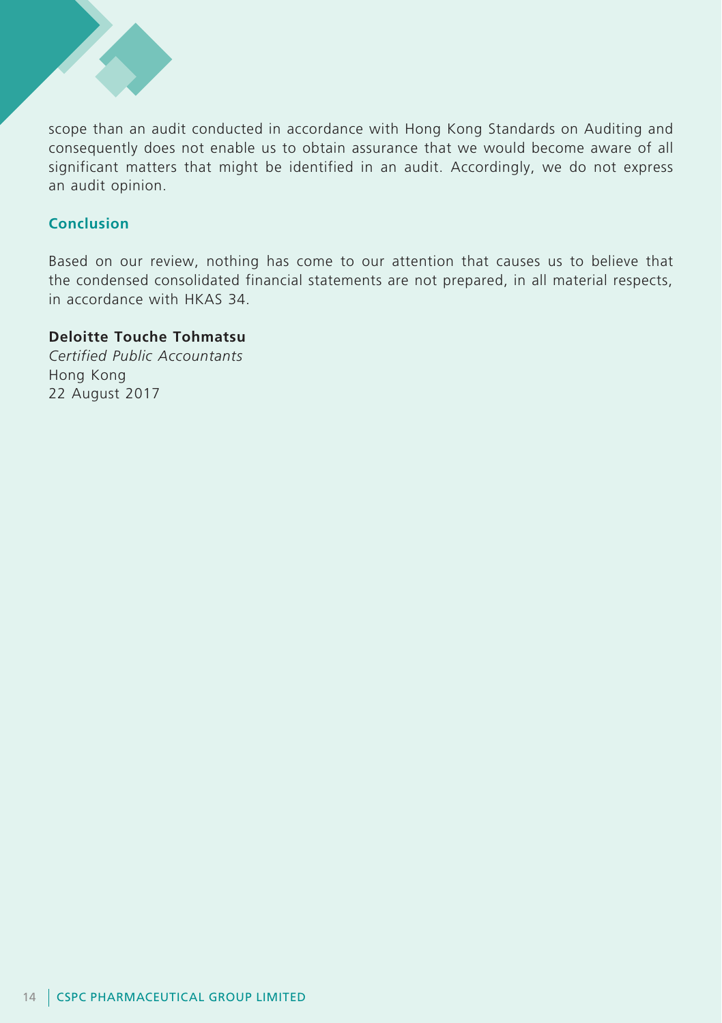

scope than an audit conducted in accordance with Hong Kong Standards on Auditing and consequently does not enable us to obtain assurance that we would become aware of all significant matters that might be identified in an audit. Accordingly, we do not express an audit opinion.

## **Conclusion**

Based on our review, nothing has come to our attention that causes us to believe that the condensed consolidated financial statements are not prepared, in all material respects, in accordance with HKAS 34.

## **Deloitte Touche Tohmatsu**

*Certified Public Accountants* Hong Kong 22 August 2017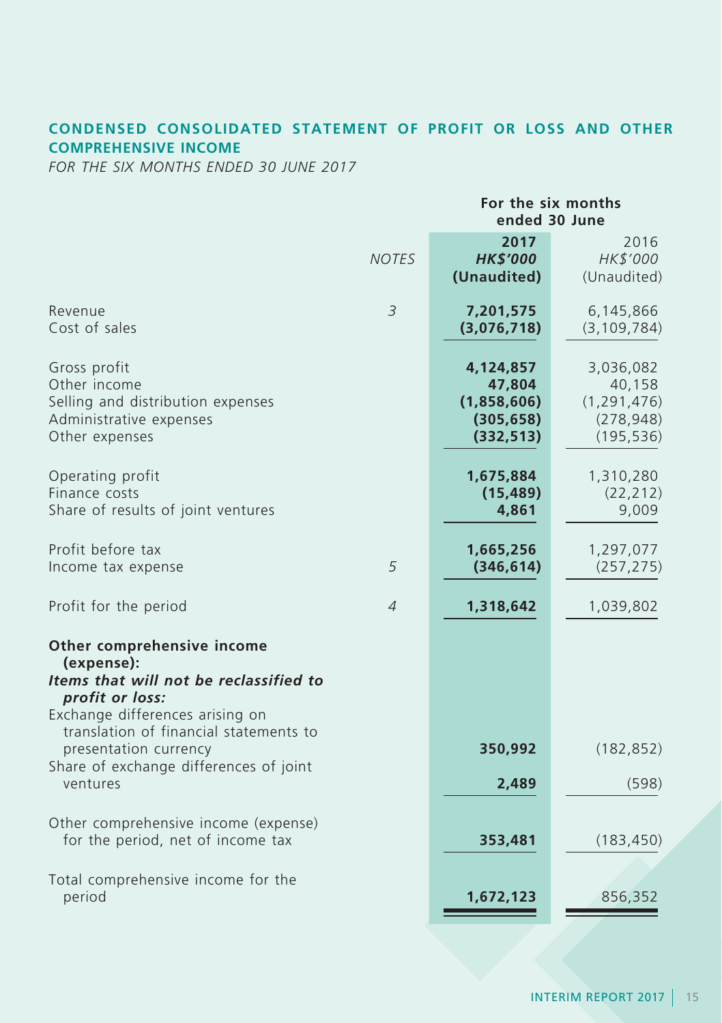## **CONDENSED CONSOLIDATED STATEMENT OF PROFIT OR LOSS AND OTHER COMPREHENSIVE INCOME**

*FOR THE SIX MONTHS ENDED 30 JUNE 2017*

|                                                                                                                                                                                    |                | For the six months<br>ended 30 June                            |                                                                  |  |  |
|------------------------------------------------------------------------------------------------------------------------------------------------------------------------------------|----------------|----------------------------------------------------------------|------------------------------------------------------------------|--|--|
|                                                                                                                                                                                    | <b>NOTES</b>   | 2017<br><b>HK\$'000</b><br>(Unaudited)                         | 2016<br>HK\$'000<br>(Unaudited)                                  |  |  |
| Revenue<br>Cost of sales                                                                                                                                                           | $\overline{3}$ | 7,201,575<br>(3,076,718)                                       | 6,145,866<br>(3, 109, 784)                                       |  |  |
| Gross profit<br>Other income<br>Selling and distribution expenses<br>Administrative expenses<br>Other expenses                                                                     |                | 4,124,857<br>47,804<br>(1,858,606)<br>(305, 658)<br>(332, 513) | 3,036,082<br>40,158<br>(1, 291, 476)<br>(278, 948)<br>(195, 536) |  |  |
| Operating profit<br>Finance costs<br>Share of results of joint ventures                                                                                                            |                | 1,675,884<br>(15, 489)<br>4,861                                | 1,310,280<br>(22, 212)<br>9,009                                  |  |  |
| Profit before tax<br>Income tax expense                                                                                                                                            | 5              | 1,665,256<br>(346, 614)                                        | 1,297,077<br>(257, 275)                                          |  |  |
| Profit for the period                                                                                                                                                              | $\overline{A}$ | 1,318,642                                                      | 1,039,802                                                        |  |  |
| Other comprehensive income<br>(expense):<br>Items that will not be reclassified to<br>profit or loss:<br>Exchange differences arising on<br>translation of financial statements to |                |                                                                |                                                                  |  |  |
| presentation currency<br>Share of exchange differences of joint<br>ventures                                                                                                        |                | 350,992<br>2,489                                               | (182, 852)<br>(598)                                              |  |  |
| Other comprehensive income (expense)<br>for the period, net of income tax                                                                                                          |                | 353,481                                                        | (183, 450)                                                       |  |  |
| Total comprehensive income for the<br>period                                                                                                                                       |                | 1,672,123                                                      | 856,352                                                          |  |  |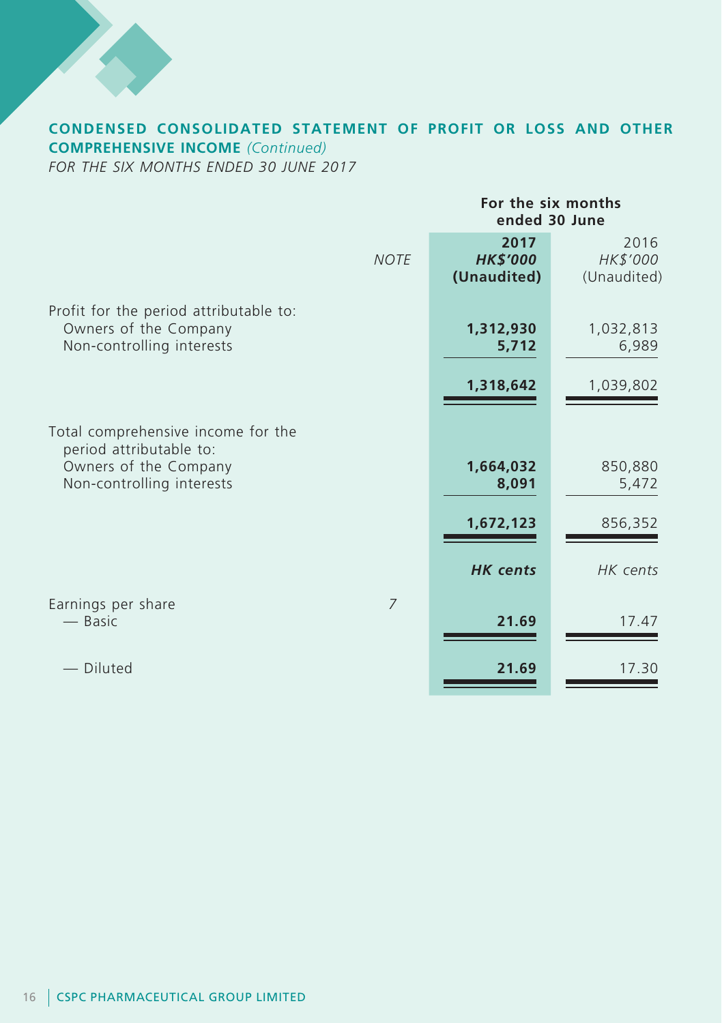

# **CONDENSED CONSOLIDATED STATEMENT OF PROFIT OR LOSS AND OTHER COMPREHENSIVE INCOME** *(Continued)*

*FOR THE SIX MONTHS ENDED 30 JUNE 2017*

|                                                                                                                     | For the six months<br>ended 30 June    |                                 |  |
|---------------------------------------------------------------------------------------------------------------------|----------------------------------------|---------------------------------|--|
| <b>NOTE</b>                                                                                                         | 2017<br><b>HK\$'000</b><br>(Unaudited) | 2016<br>HK\$'000<br>(Unaudited) |  |
| Profit for the period attributable to:<br>Owners of the Company<br>Non-controlling interests                        | 1,312,930<br>5,712                     | 1,032,813<br>6,989              |  |
|                                                                                                                     | 1,318,642                              | 1,039,802                       |  |
| Total comprehensive income for the<br>period attributable to:<br>Owners of the Company<br>Non-controlling interests | 1,664,032<br>8,091                     | 850,880<br>5,472                |  |
|                                                                                                                     | 1,672,123                              | 856,352                         |  |
|                                                                                                                     | <b>HK</b> cents                        | HK cents                        |  |
| Earnings per share<br>7<br>— Basic                                                                                  | 21.69                                  | 17.47                           |  |
| Diluted                                                                                                             | 21.69                                  | 17.30                           |  |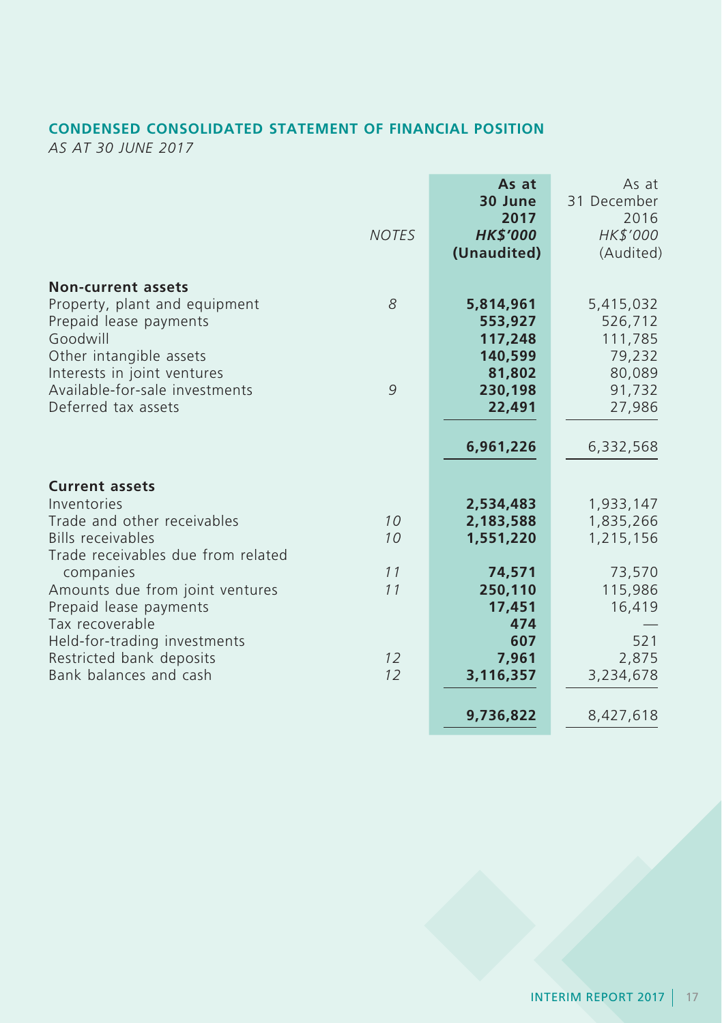## **CONDENSED CONSOLIDATED STATEMENT OF FINANCIAL POSITION**

*AS AT 30 JUNE 2017*

| <b>NOTES</b> | As at<br>30 June<br>2017<br><b>HK\$'000</b><br>(Unaudited)                | As at<br>31 December<br>2016<br>HK\$'000<br>(Audited)                   |
|--------------|---------------------------------------------------------------------------|-------------------------------------------------------------------------|
| 8<br>9       | 5,814,961<br>553,927<br>117,248<br>140,599<br>81,802<br>230,198<br>22,491 | 5,415,032<br>526,712<br>111,785<br>79,232<br>80,089<br>91,732<br>27,986 |
|              | 6,961,226                                                                 | 6,332,568                                                               |
| 10<br>10     | 2,534,483<br>2,183,588<br>1,551,220                                       | 1,933,147<br>1,835,266<br>1,215,156                                     |
| 11<br>11     | 74,571<br>250,110<br>17,451<br>474                                        | 73,570<br>115,986<br>16,419<br>521                                      |
| 12<br>12     | 7,961<br>3,116,357<br>9,736,822                                           | 2,875<br>3,234,678<br>8,427,618                                         |
|              |                                                                           | 607                                                                     |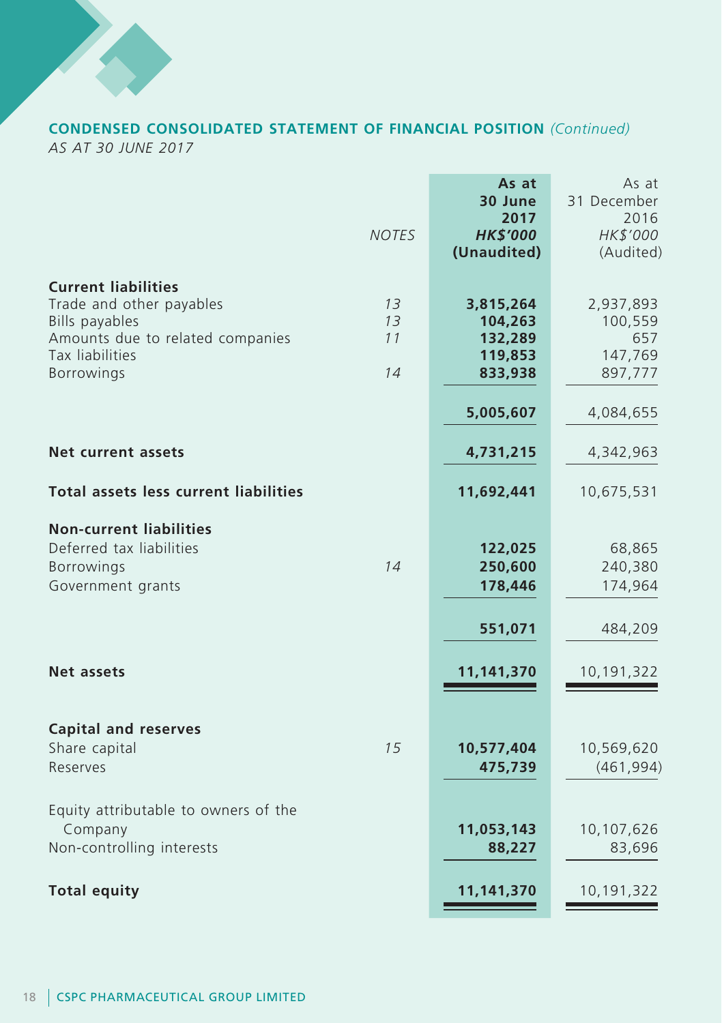

### **CONDENSED CONSOLIDATED STATEMENT OF FINANCIAL POSITION** *(Continued) AS AT 30 JUNE 2017*

**As at** As at **30 June** 31 December<br>**2017** 2016 **2017** 2016 *NOTES HK\$'000 HK\$'000* **(Unaudited)** (Audited) **Current liabilities** Trade and other payables *13* **3,815,264** 2,937,893 **Bills payables** Amounts due to related companies *11* **132,289** 657 Tax liabilities **119,853** 147,769  $B$ orrowings **5,005,607** 4,084,655 **Net current assets 4,731,215** 4,342,963 **Total assets less current liabilities 11,692,441** 10,675,531 **Non-current liabilities** Deferred tax liabilities **122,025** 68,865 Borrowings *14* **250,600** 240,380 Government grants **178,446** 174,964 **551,071** 484,209 **Net assets 11,141,370** 10,191,322 **Capital and reserves** Share capital *15* **10,577,404** 10,569,620 Reserves **475,739** (461,994) Equity attributable to owners of the Company **11,053,143** 10,107,626 Non-controlling interests **88,227** 83,696 **Total equity 11,141,370** 10,191,322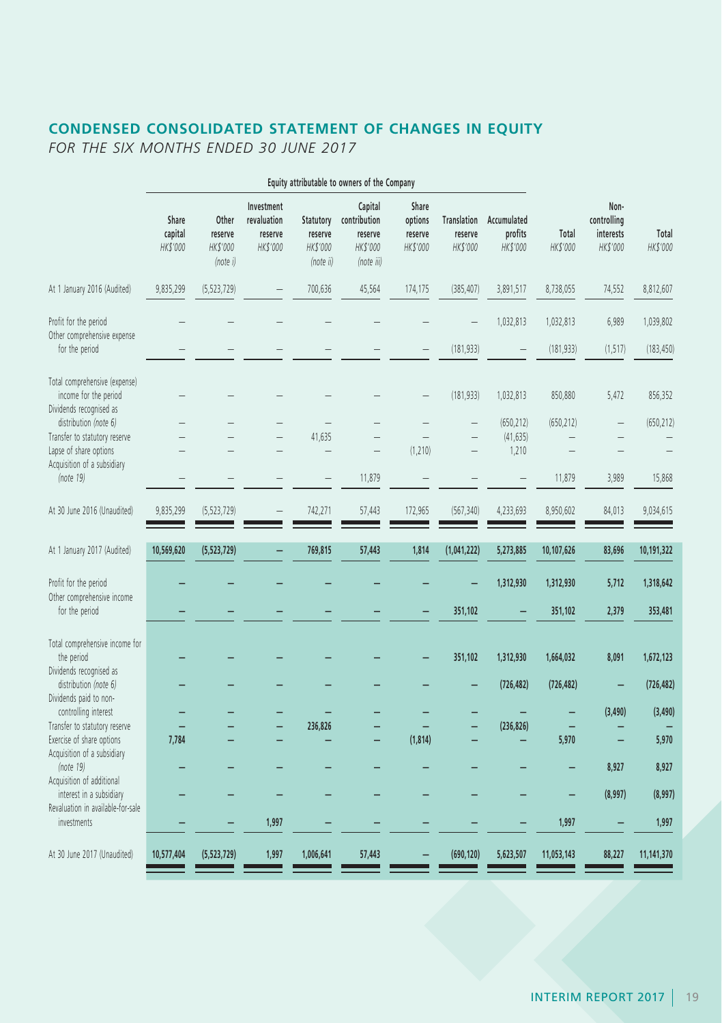# **CONDENSED CONSOLIDATED STATEMENT OF CHANGES IN EQUITY**

*FOR THE SIX MONTHS ENDED 30 JUNE 2017*

|                                                                                                            |                              |                                          |                                                  |                                               | Equity attributable to owners of the Company                 |                                         |                                           |                                    |                         |                                              |                         |
|------------------------------------------------------------------------------------------------------------|------------------------------|------------------------------------------|--------------------------------------------------|-----------------------------------------------|--------------------------------------------------------------|-----------------------------------------|-------------------------------------------|------------------------------------|-------------------------|----------------------------------------------|-------------------------|
|                                                                                                            | Share<br>capital<br>HK\$'000 | Other<br>reserve<br>HK\$'000<br>(note i) | Investment<br>revaluation<br>reserve<br>HK\$'000 | Statutory<br>reserve<br>HK\$'000<br>(note ii) | Capital<br>contribution<br>reserve<br>HK\$'000<br>(note iii) | Share<br>options<br>reserve<br>HK\$'000 | <b>Translation</b><br>reserve<br>HK\$'000 | Accumulated<br>profits<br>HK\$'000 | Total<br>HK\$'000       | Non-<br>controlling<br>interests<br>HK\$'000 | Total<br>HK\$'000       |
| At 1 January 2016 (Audited)                                                                                | 9,835,299                    | (5, 523, 729)                            |                                                  | 700,636                                       | 45,564                                                       | 174,175                                 | (385, 407)                                | 3,891,517                          | 8,738,055               | 74,552                                       | 8,812,607               |
| Profit for the period<br>Other comprehensive expense<br>for the period                                     |                              |                                          |                                                  |                                               |                                                              |                                         | (181, 933)                                | 1,032,813                          | 1,032,813<br>(181, 933) | 6,989<br>(1, 517)                            | 1,039,802<br>(183, 450) |
| Total comprehensive (expense)<br>income for the period<br>Dividends recognised as<br>distribution (note 6) |                              |                                          |                                                  |                                               |                                                              |                                         | (181, 933)                                | 1,032,813<br>(650, 212)            | 850,880<br>(650, 212)   | 5,472                                        | 856,352<br>(650, 212)   |
| Transfer to statutory reserve<br>Lapse of share options<br>Acquisition of a subsidiary                     |                              |                                          |                                                  | 41,635                                        |                                                              | (1, 210)                                |                                           | (41, 635)<br>1,210                 |                         |                                              |                         |
| (note 19)<br>At 30 June 2016 (Unaudited)                                                                   | 9,835,299                    | (5, 523, 729)                            |                                                  | 742,271                                       | 11,879<br>57,443                                             | 172,965                                 | (567, 340)                                | 4,233,693                          | 11,879<br>8,950,602     | 3,989<br>84,013                              | 15,868<br>9,034,615     |
|                                                                                                            |                              |                                          |                                                  |                                               |                                                              |                                         |                                           |                                    |                         |                                              |                         |
| At 1 January 2017 (Audited)                                                                                | 10,569,620                   | (5, 523, 729)                            |                                                  | 769,815                                       | 57,443                                                       | 1,814                                   | (1,041,222)                               | 5,273,885                          | 10,107,626              | 83,696                                       | 10,191,322              |
| Profit for the period<br>Other comprehensive income                                                        |                              |                                          |                                                  |                                               |                                                              |                                         |                                           | 1,312,930                          | 1,312,930               | 5,712                                        | 1,318,642               |
| for the period                                                                                             |                              |                                          |                                                  |                                               |                                                              |                                         | 351,102                                   |                                    | 351,102                 | 2,379                                        | 353,481                 |
| Total comprehensive income for<br>the period<br>Dividends recognised as                                    |                              |                                          |                                                  |                                               |                                                              |                                         | 351,102                                   | 1,312,930                          | 1,664,032               | 8,091                                        | 1,672,123               |
| distribution (note 6)<br>Dividends paid to non-                                                            |                              |                                          |                                                  |                                               |                                                              |                                         |                                           | (726, 482)                         | (726, 482)              | $\overline{\phantom{0}}$                     | (726, 482)              |
| controlling interest<br>Transfer to statutory reserve                                                      |                              |                                          |                                                  | 236,826                                       |                                                              |                                         |                                           | (236, 826)                         |                         | (3, 490)                                     | (3, 490)                |
| Exercise of share options<br>Acquisition of a subsidiary                                                   | 7,784                        |                                          |                                                  |                                               |                                                              | (1, 814)                                |                                           |                                    | 5,970                   |                                              | 5,970                   |
| (note 19)<br>Acquisition of additional                                                                     |                              |                                          |                                                  |                                               |                                                              |                                         |                                           |                                    |                         | 8,927                                        | 8,927                   |
| interest in a subsidiary<br>Revaluation in available-for-sale<br>investments                               |                              |                                          | 1,997                                            |                                               |                                                              |                                         |                                           |                                    | 1,997                   | (8,997)                                      | (8,997)<br>1,997        |
| At 30 June 2017 (Unaudited)                                                                                | 10,577,404                   | (5, 523, 729)                            | 1,997                                            | 1,006,641                                     | 57,443                                                       |                                         | (690, 120)                                | 5,623,507                          | 11,053,143              | 88,227                                       | 11,141,370              |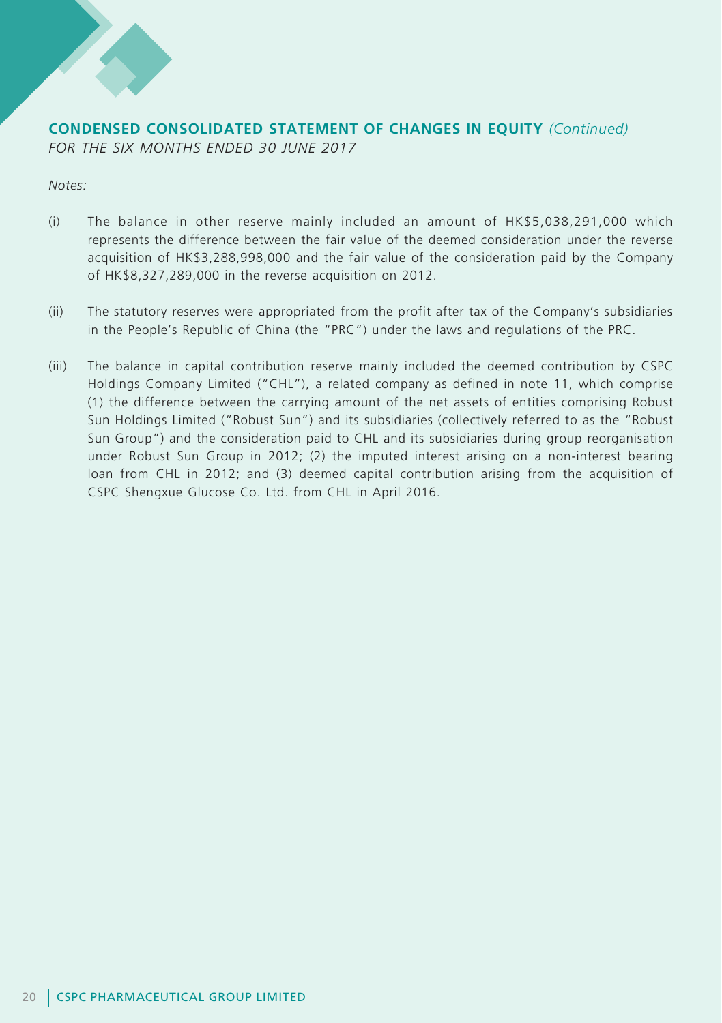

## **CONDENSED CONSOLIDATED STATEMENT OF CHANGES IN EQUITY** *(Continued) FOR THE SIX MONTHS ENDED 30 JUNE 2017*

*Notes:*

- (i) The balance in other reserve mainly included an amount of HK\$5,038,291,000 which represents the difference between the fair value of the deemed consideration under the reverse acquisition of HK\$3,288,998,000 and the fair value of the consideration paid by the Company of HK\$8,327,289,000 in the reverse acquisition on 2012.
- (ii) The statutory reserves were appropriated from the profit after tax of the Company's subsidiaries in the People's Republic of China (the "PRC") under the laws and regulations of the PRC.
- (iii) The balance in capital contribution reserve mainly included the deemed contribution by CSPC Holdings Company Limited ("CHL"), a related company as defined in note 11, which comprise (1) the difference between the carrying amount of the net assets of entities comprising Robust Sun Holdings Limited ("Robust Sun") and its subsidiaries (collectively referred to as the "Robust Sun Group") and the consideration paid to CHL and its subsidiaries during group reorganisation under Robust Sun Group in 2012; (2) the imputed interest arising on a non-interest bearing loan from CHL in 2012; and (3) deemed capital contribution arising from the acquisition of CSPC Shengxue Glucose Co. Ltd. from CHL in April 2016.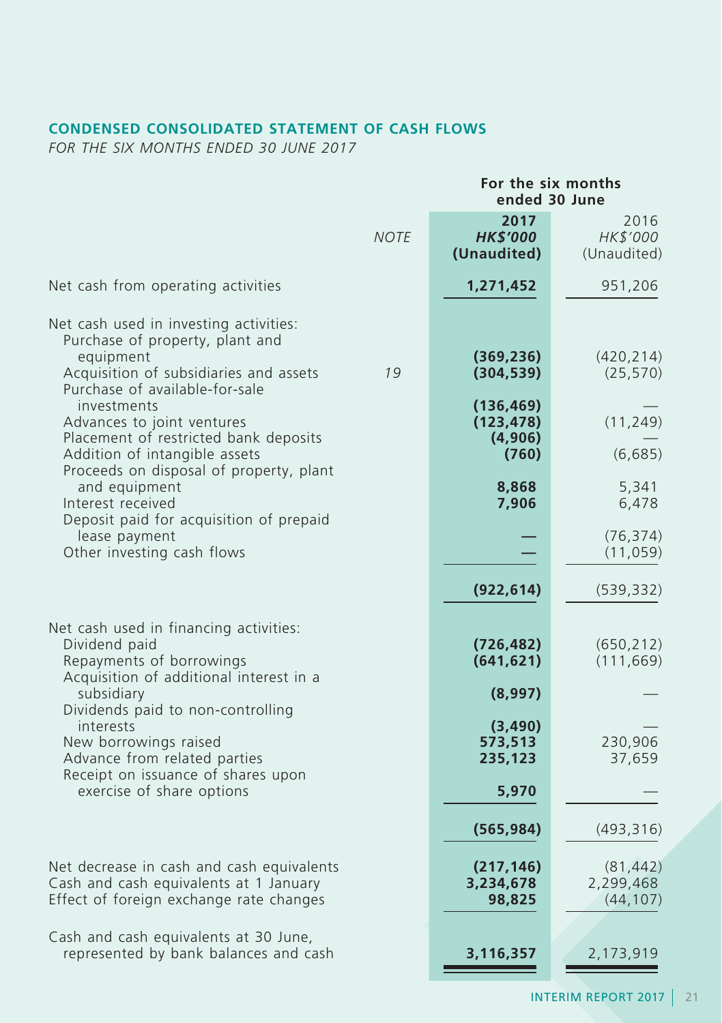## **CONDENSED CONSOLIDATED STATEMENT OF CASH FLOWS**

*FOR THE SIX MONTHS ENDED 30 JUNE 2017*

|                                                                                                                                                                    |             | For the six months<br>ended 30 June          |                                     |  |
|--------------------------------------------------------------------------------------------------------------------------------------------------------------------|-------------|----------------------------------------------|-------------------------------------|--|
|                                                                                                                                                                    | <b>NOTE</b> | 2017<br><b>HK\$'000</b><br>(Unaudited)       | 2016<br>HK\$'000<br>(Unaudited)     |  |
| Net cash from operating activities                                                                                                                                 |             | 1,271,452                                    | 951,206                             |  |
| Net cash used in investing activities:<br>Purchase of property, plant and<br>equipment<br>Acquisition of subsidiaries and assets<br>Purchase of available-for-sale | 19          | (369, 236)<br>(304, 539)                     | (420, 214)<br>(25, 570)             |  |
| investments<br>Advances to joint ventures<br>Placement of restricted bank deposits<br>Addition of intangible assets<br>Proceeds on disposal of property, plant     |             | (136, 469)<br>(123, 478)<br>(4,906)<br>(760) | (11, 249)<br>(6,685)                |  |
| and equipment<br>Interest received<br>Deposit paid for acquisition of prepaid                                                                                      |             | 8,868<br>7,906                               | 5,341<br>6,478                      |  |
| lease payment<br>Other investing cash flows                                                                                                                        |             |                                              | (76, 374)<br>(11, 059)              |  |
|                                                                                                                                                                    |             | (922, 614)                                   | (539, 332)                          |  |
| Net cash used in financing activities:<br>Dividend paid<br>Repayments of borrowings<br>Acquisition of additional interest in a<br>subsidiary                       |             | (726, 482)<br>(641, 621)<br>(8,997)          | (650, 212)<br>(111, 669)            |  |
| Dividends paid to non-controlling<br>interests<br>New borrowings raised<br>Advance from related parties<br>Receipt on issuance of shares upon                      |             | (3, 490)<br>573,513<br>235,123               | 230,906<br>37,659                   |  |
| exercise of share options                                                                                                                                          |             | 5,970<br>(565, 984)                          | (493, 316)                          |  |
| Net decrease in cash and cash equivalents<br>Cash and cash equivalents at 1 January<br>Effect of foreign exchange rate changes                                     |             | (217, 146)<br>3,234,678<br>98,825            | (81, 442)<br>2,299,468<br>(44, 107) |  |
| Cash and cash equivalents at 30 June,<br>represented by bank balances and cash                                                                                     |             | 3,116,357                                    | 2,173,919                           |  |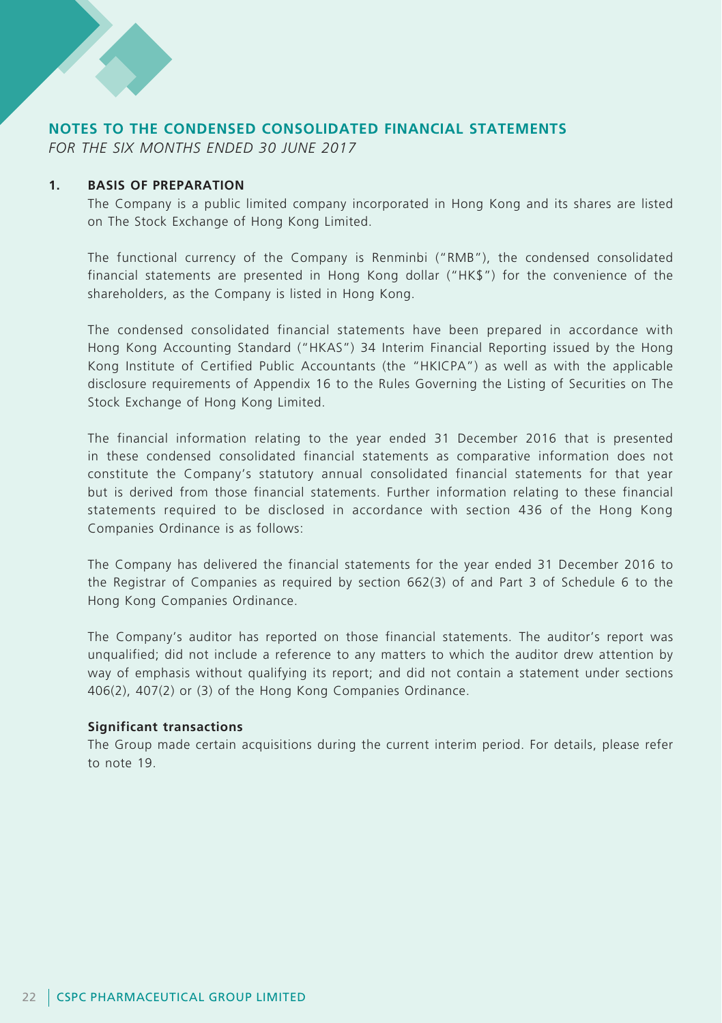## **NOTES TO THE CONDENSED CONSOLIDATED FINANCIAL STATEMENTS**

*FOR THE SIX MONTHS ENDED 30 JUNE 2017*

#### **1. BASIS OF PREPARATION**

The Company is a public limited company incorporated in Hong Kong and its shares are listed on The Stock Exchange of Hong Kong Limited.

The functional currency of the Company is Renminbi ("RMB"), the condensed consolidated financial statements are presented in Hong Kong dollar ("HK\$") for the convenience of the shareholders, as the Company is listed in Hong Kong.

The condensed consolidated financial statements have been prepared in accordance with Hong Kong Accounting Standard ("HKAS") 34 Interim Financial Reporting issued by the Hong Kong Institute of Certified Public Accountants (the "HKICPA") as well as with the applicable disclosure requirements of Appendix 16 to the Rules Governing the Listing of Securities on The Stock Exchange of Hong Kong Limited.

The financial information relating to the year ended 31 December 2016 that is presented in these condensed consolidated financial statements as comparative information does not constitute the Company's statutory annual consolidated financial statements for that year but is derived from those financial statements. Further information relating to these financial statements required to be disclosed in accordance with section 436 of the Hong Kong Companies Ordinance is as follows:

The Company has delivered the financial statements for the year ended 31 December 2016 to the Registrar of Companies as required by section 662(3) of and Part 3 of Schedule 6 to the Hong Kong Companies Ordinance.

The Company's auditor has reported on those financial statements. The auditor's report was unqualified; did not include a reference to any matters to which the auditor drew attention by way of emphasis without qualifying its report; and did not contain a statement under sections 406(2), 407(2) or (3) of the Hong Kong Companies Ordinance.

#### **Significant transactions**

The Group made certain acquisitions during the current interim period. For details, please refer to note 19.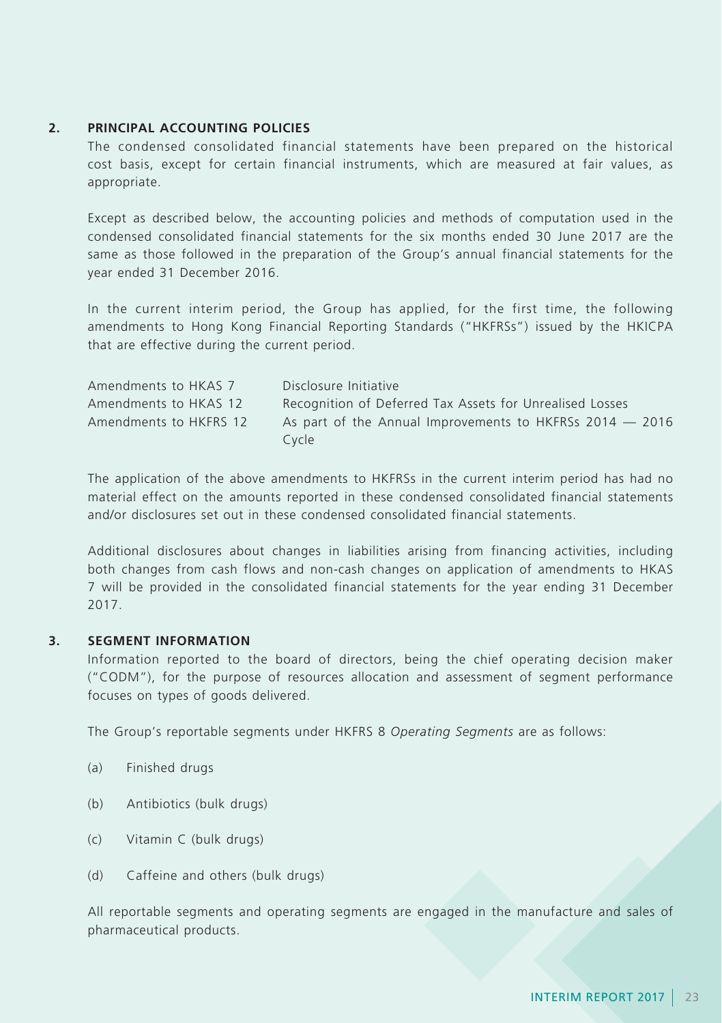### **2. PRINCIPAL ACCOUNTING POLICIES**

The condensed consolidated financial statements have been prepared on the historical cost basis, except for certain financial instruments, which are measured at fair values, as appropriate.

Except as described below, the accounting policies and methods of computation used in the condensed consolidated financial statements for the six months ended 30 June 2017 are the same as those followed in the preparation of the Group's annual financial statements for the year ended 31 December 2016.

In the current interim period, the Group has applied, for the first time, the following amendments to Hong Kong Financial Reporting Standards ("HKFRSs") issued by the HKICPA that are effective during the current period.

| Amendments to HKAS 7   | Disclosure Initiative                                      |
|------------------------|------------------------------------------------------------|
| Amendments to HKAS 12  | Recognition of Deferred Tax Assets for Unrealised Losses   |
| Amendments to HKFRS 12 | As part of the Annual Improvements to HKFRSs 2014 $-$ 2016 |
|                        | Cycle                                                      |

The application of the above amendments to HKFRSs in the current interim period has had no material effect on the amounts reported in these condensed consolidated financial statements and/or disclosures set out in these condensed consolidated financial statements.

Additional disclosures about changes in liabilities arising from financing activities, including both changes from cash flows and non-cash changes on application of amendments to HKAS 7 will be provided in the consolidated financial statements for the year ending 31 December 2017.

### **3. SEGMENT INFORMATION**

Information reported to the board of directors, being the chief operating decision maker ("CODM"), for the purpose of resources allocation and assessment of segment performance focuses on types of goods delivered.

The Group's reportable segments under HKFRS 8 *Operating Segments* are as follows:

- (a) Finished drugs
- (b) Antibiotics (bulk drugs)
- (c) Vitamin C (bulk drugs)
- (d) Caffeine and others (bulk drugs)

All reportable segments and operating segments are engaged in the manufacture and sales of pharmaceutical products.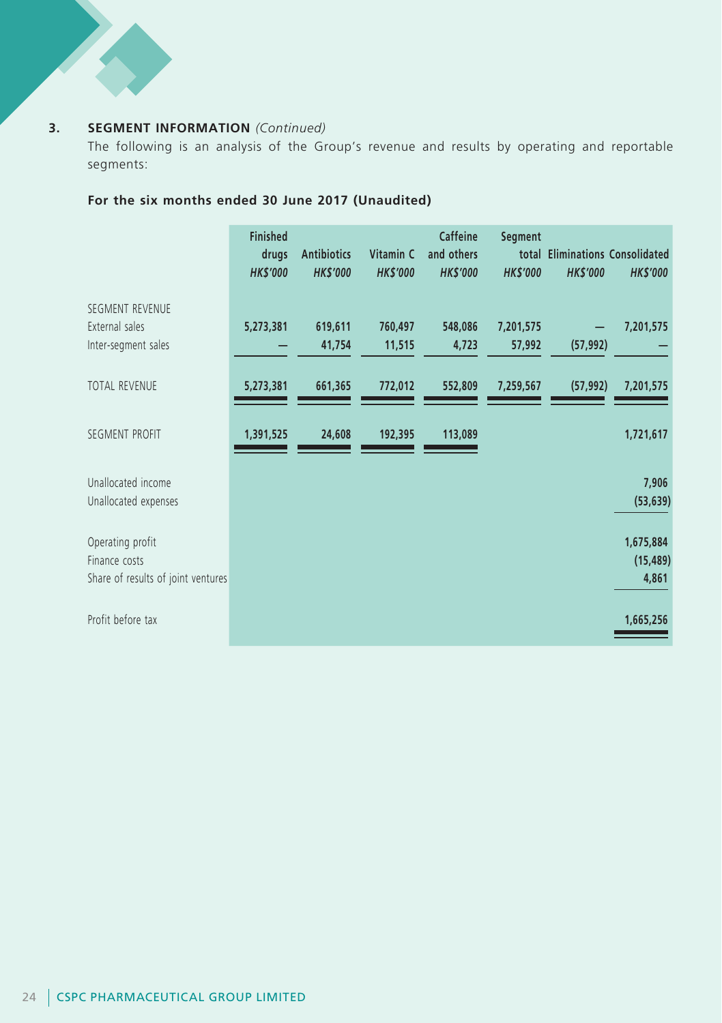## **3. SEGMENT INFORMATION** *(Continued)*

The following is an analysis of the Group's revenue and results by operating and reportable segments:

## **For the six months ended 30 June 2017 (Unaudited)**

|                                                                         | <b>Finished</b><br>drugs<br><b>HK\$'000</b> | <b>Antibiotics</b><br><b>HK\$'000</b> | Vitamin C<br><b>HK\$'000</b> | Caffeine<br>and others<br><b>HK\$'000</b> | Segment<br><b>HK\$'000</b> | <b>HK\$'000</b> | total Eliminations Consolidated<br><b>HK\$'000</b> |
|-------------------------------------------------------------------------|---------------------------------------------|---------------------------------------|------------------------------|-------------------------------------------|----------------------------|-----------------|----------------------------------------------------|
| SEGMENT REVENUE<br>External sales<br>Inter-segment sales                | 5,273,381                                   | 619,611<br>41,754                     | 760,497<br>11,515            | 548,086<br>4,723                          | 7,201,575<br>57,992        | (57, 992)       | 7,201,575                                          |
| TOTAL REVENUE                                                           | 5,273,381                                   | 661,365                               | 772,012                      | 552,809                                   | 7,259,567                  | (57, 992)       | 7,201,575                                          |
| SEGMENT PROFIT                                                          | 1,391,525                                   | 24,608                                | 192,395                      | 113,089                                   |                            |                 | 1,721,617                                          |
| Unallocated income<br>Unallocated expenses                              |                                             |                                       |                              |                                           |                            |                 | 7,906<br>(53, 639)                                 |
| Operating profit<br>Finance costs<br>Share of results of joint ventures |                                             |                                       |                              |                                           |                            |                 | 1,675,884<br>(15, 489)<br>4,861                    |
| Profit before tax                                                       |                                             |                                       |                              |                                           |                            |                 | 1,665,256                                          |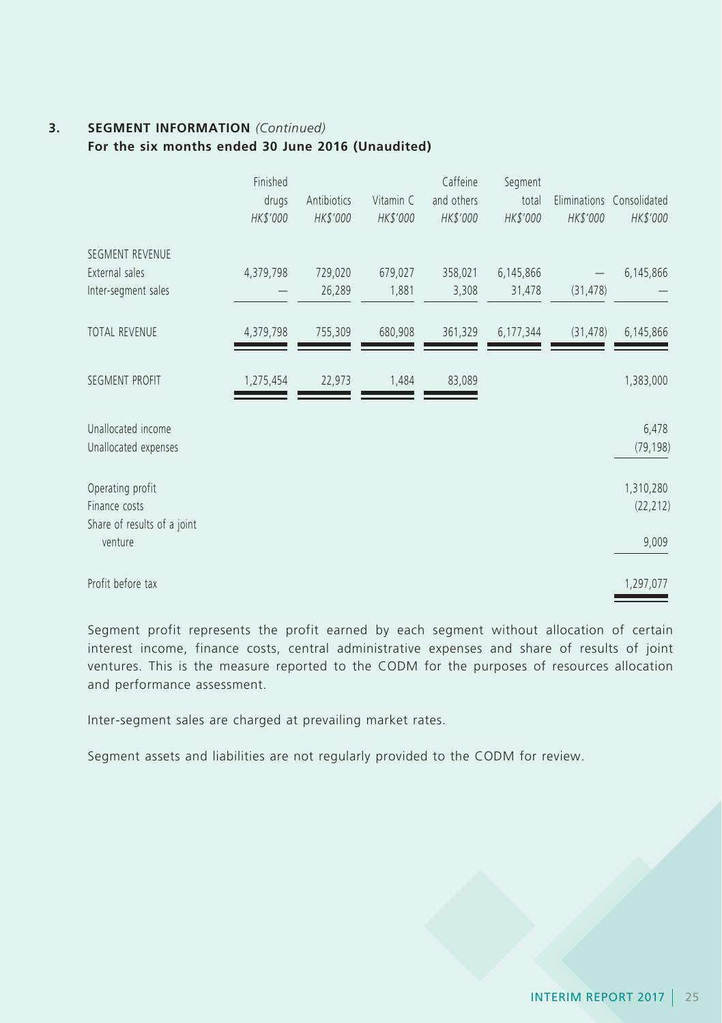## **3. SEGMENT INFORMATION** *(Continued)*

**For the six months ended 30 June 2016 (Unaudited)**

|                                            | Finished<br>drugs<br>HK\$'000 | Antibiotics<br>HK\$'000 | Vitamin C<br>HK\$'000 | Caffeine<br>and others<br>HK\$'000 | Segment<br>total<br>HK\$'000 | HK\$'000  | Eliminations Consolidated<br>HK\$'000 |
|--------------------------------------------|-------------------------------|-------------------------|-----------------------|------------------------------------|------------------------------|-----------|---------------------------------------|
| SEGMENT REVENUE                            |                               |                         |                       |                                    |                              |           |                                       |
| External sales<br>Inter-segment sales      | 4,379,798                     | 729,020<br>26,289       | 679,027<br>1,881      | 358,021<br>3,308                   | 6,145,866<br>31,478          | (31, 478) | 6,145,866                             |
| TOTAL REVENUE                              | 4,379,798                     | 755,309                 | 680,908               | 361,329                            | 6,177,344                    | (31, 478) | 6,145,866                             |
| SEGMENT PROFIT                             | 1,275,454                     | 22,973                  | 1,484                 | 83,089                             |                              |           | 1,383,000                             |
| Unallocated income<br>Unallocated expenses |                               |                         |                       |                                    |                              |           | 6,478<br>(79, 198)                    |
| Operating profit<br>Finance costs          |                               |                         |                       |                                    |                              |           | 1,310,280<br>(22, 212)                |
| Share of results of a joint<br>venture     |                               |                         |                       |                                    |                              |           | 9,009                                 |
| Profit before tax                          |                               |                         |                       |                                    |                              |           | 1,297,077                             |

Segment profit represents the profit earned by each segment without allocation of certain interest income, finance costs, central administrative expenses and share of results of joint ventures. This is the measure reported to the CODM for the purposes of resources allocation and performance assessment.

Inter-segment sales are charged at prevailing market rates.

Segment assets and liabilities are not regularly provided to the CODM for review.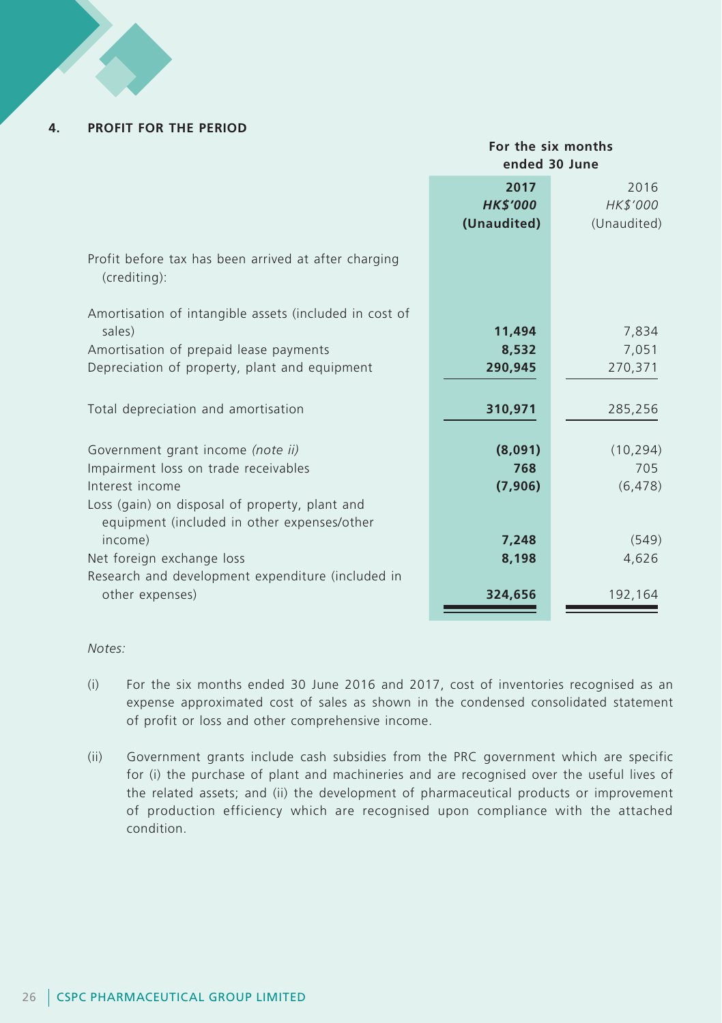#### **4. PROFIT FOR THE PERIOD**

#### **For the six months ended 30 June**

| 2017<br><b>HK\$'000</b><br>HK\$'000<br>(Unaudited)<br>(Unaudited)    | 2016      |
|----------------------------------------------------------------------|-----------|
|                                                                      |           |
| Profit before tax has been arrived at after charging<br>(crediting): |           |
| Amortisation of intangible assets (included in cost of               |           |
| sales)<br>11,494                                                     | 7,834     |
| Amortisation of prepaid lease payments<br>8,532                      | 7,051     |
| Depreciation of property, plant and equipment<br>290,945<br>270,371  |           |
|                                                                      |           |
| Total depreciation and amortisation<br>310,971                       | 285,256   |
|                                                                      |           |
| (8,091)<br>Government grant income (note ii)                         | (10, 294) |
| Impairment loss on trade receivables<br>768                          | 705       |
| Interest income<br>(7,906)                                           | (6, 478)  |
| Loss (gain) on disposal of property, plant and                       |           |
| equipment (included in other expenses/other                          |           |
| income)<br>7,248                                                     | (549)     |
| Net foreign exchange loss<br>8,198                                   | 4,626     |
| Research and development expenditure (included in                    |           |
| other expenses)<br>324,656                                           | 192,164   |
|                                                                      |           |

*Notes:*

- (i) For the six months ended 30 June 2016 and 2017, cost of inventories recognised as an expense approximated cost of sales as shown in the condensed consolidated statement of profit or loss and other comprehensive income.
- (ii) Government grants include cash subsidies from the PRC government which are specific for (i) the purchase of plant and machineries and are recognised over the useful lives of the related assets; and (ii) the development of pharmaceutical products or improvement of production efficiency which are recognised upon compliance with the attached condition.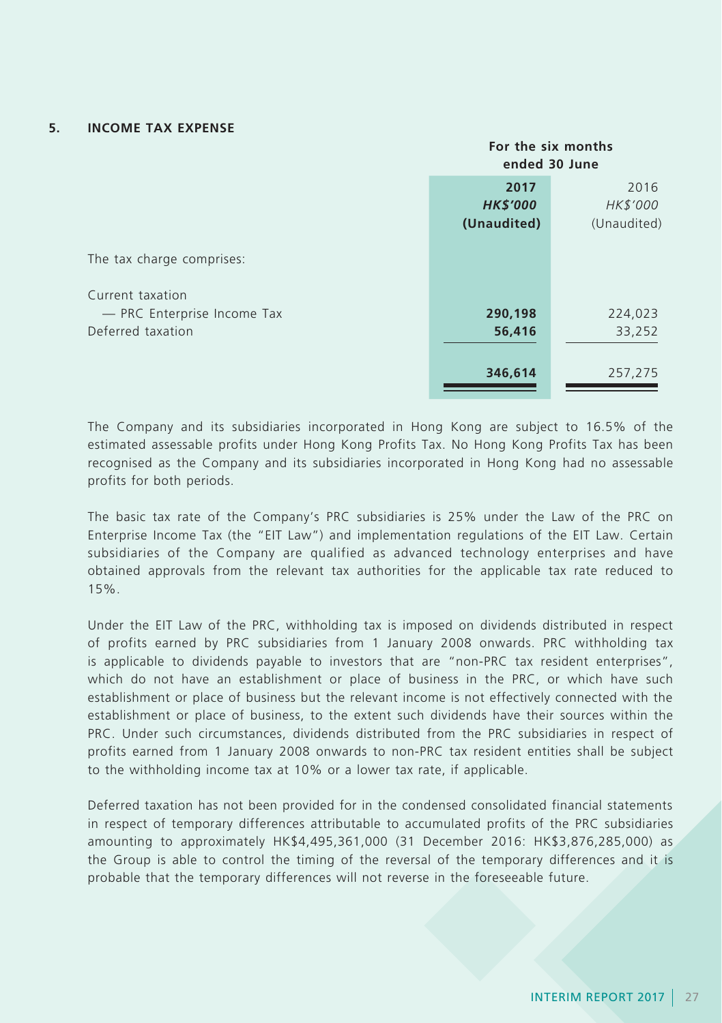#### **5. INCOME TAX EXPENSE**

|                                                  | For the six months<br>ended 30 June    |                                 |
|--------------------------------------------------|----------------------------------------|---------------------------------|
|                                                  | 2017<br><b>HK\$'000</b><br>(Unaudited) | 2016<br>HK\$'000<br>(Unaudited) |
| The tax charge comprises:<br>Current taxation    |                                        |                                 |
| - PRC Enterprise Income Tax<br>Deferred taxation | 290,198<br>56,416                      | 224,023<br>33,252               |
|                                                  | 346,614                                | 257,275                         |

The Company and its subsidiaries incorporated in Hong Kong are subject to 16.5% of the estimated assessable profits under Hong Kong Profits Tax. No Hong Kong Profits Tax has been recognised as the Company and its subsidiaries incorporated in Hong Kong had no assessable profits for both periods.

The basic tax rate of the Company's PRC subsidiaries is 25% under the Law of the PRC on Enterprise Income Tax (the "EIT Law") and implementation regulations of the EIT Law. Certain subsidiaries of the Company are qualified as advanced technology enterprises and have obtained approvals from the relevant tax authorities for the applicable tax rate reduced to 15%.

Under the EIT Law of the PRC, withholding tax is imposed on dividends distributed in respect of profits earned by PRC subsidiaries from 1 January 2008 onwards. PRC withholding tax is applicable to dividends payable to investors that are "non-PRC tax resident enterprises", which do not have an establishment or place of business in the PRC, or which have such establishment or place of business but the relevant income is not effectively connected with the establishment or place of business, to the extent such dividends have their sources within the PRC. Under such circumstances, dividends distributed from the PRC subsidiaries in respect of profits earned from 1 January 2008 onwards to non-PRC tax resident entities shall be subject to the withholding income tax at 10% or a lower tax rate, if applicable.

Deferred taxation has not been provided for in the condensed consolidated financial statements in respect of temporary differences attributable to accumulated profits of the PRC subsidiaries amounting to approximately HK\$4,495,361,000 (31 December 2016: HK\$3,876,285,000) as the Group is able to control the timing of the reversal of the temporary differences and it is probable that the temporary differences will not reverse in the foreseeable future.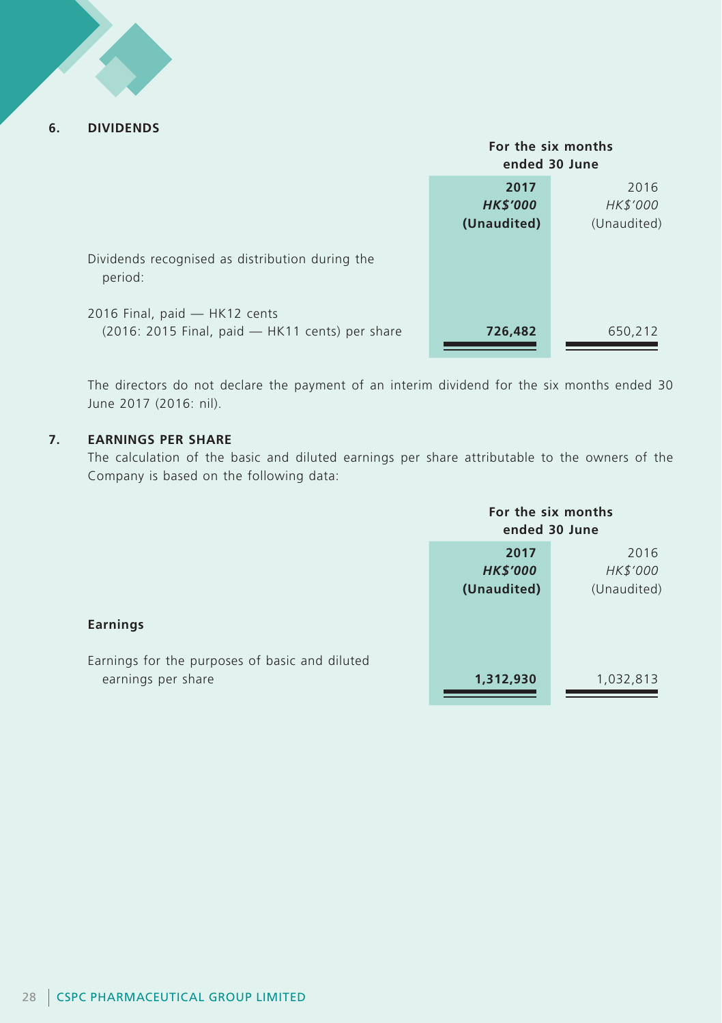### **6. DIVIDENDS**

|                                                                                  | For the six months<br>ended 30 June    |                                 |
|----------------------------------------------------------------------------------|----------------------------------------|---------------------------------|
|                                                                                  | 2017<br><b>HK\$'000</b><br>(Unaudited) | 2016<br>HK\$'000<br>(Unaudited) |
| Dividends recognised as distribution during the<br>period:                       |                                        |                                 |
| 2016 Final, paid - HK12 cents<br>(2016: 2015 Final, paid - HK11 cents) per share | 726,482                                | 650,212                         |

The directors do not declare the payment of an interim dividend for the six months ended 30 June 2017 (2016: nil).

### **7. EARNINGS PER SHARE**

The calculation of the basic and diluted earnings per share attributable to the owners of the Company is based on the following data:

|                                                                      | For the six months<br>ended 30 June |             |
|----------------------------------------------------------------------|-------------------------------------|-------------|
|                                                                      | 2017                                | 2016        |
|                                                                      | <b>HK\$'000</b>                     | HK\$'000    |
|                                                                      | (Unaudited)                         | (Unaudited) |
| Earnings                                                             |                                     |             |
| Earnings for the purposes of basic and diluted<br>earnings per share | 1,312,930                           | 1,032,813   |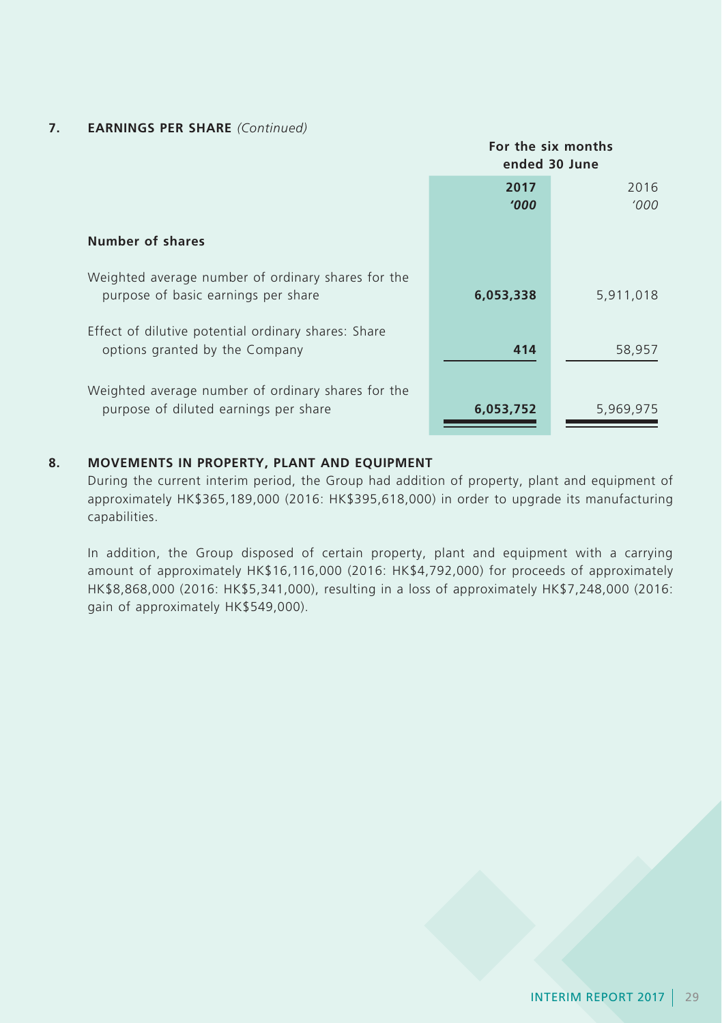## **7. EARNINGS PER SHARE** *(Continued)*

|                                                                                             | For the six months<br>ended 30 June |               |
|---------------------------------------------------------------------------------------------|-------------------------------------|---------------|
|                                                                                             | 2017<br><b>'000</b>                 | 2016<br>'000' |
| Number of shares                                                                            |                                     |               |
| Weighted average number of ordinary shares for the<br>purpose of basic earnings per share   | 6,053,338                           | 5,911,018     |
| Effect of dilutive potential ordinary shares: Share<br>options granted by the Company       | 414                                 | 58,957        |
| Weighted average number of ordinary shares for the<br>purpose of diluted earnings per share | 6,053,752                           | 5,969,975     |

### **8. MOVEMENTS IN PROPERTY, PLANT AND EQUIPMENT**

During the current interim period, the Group had addition of property, plant and equipment of approximately HK\$365,189,000 (2016: HK\$395,618,000) in order to upgrade its manufacturing capabilities.

In addition, the Group disposed of certain property, plant and equipment with a carrying amount of approximately HK\$16,116,000 (2016: HK\$4,792,000) for proceeds of approximately HK\$8,868,000 (2016: HK\$5,341,000), resulting in a loss of approximately HK\$7,248,000 (2016: gain of approximately HK\$549,000).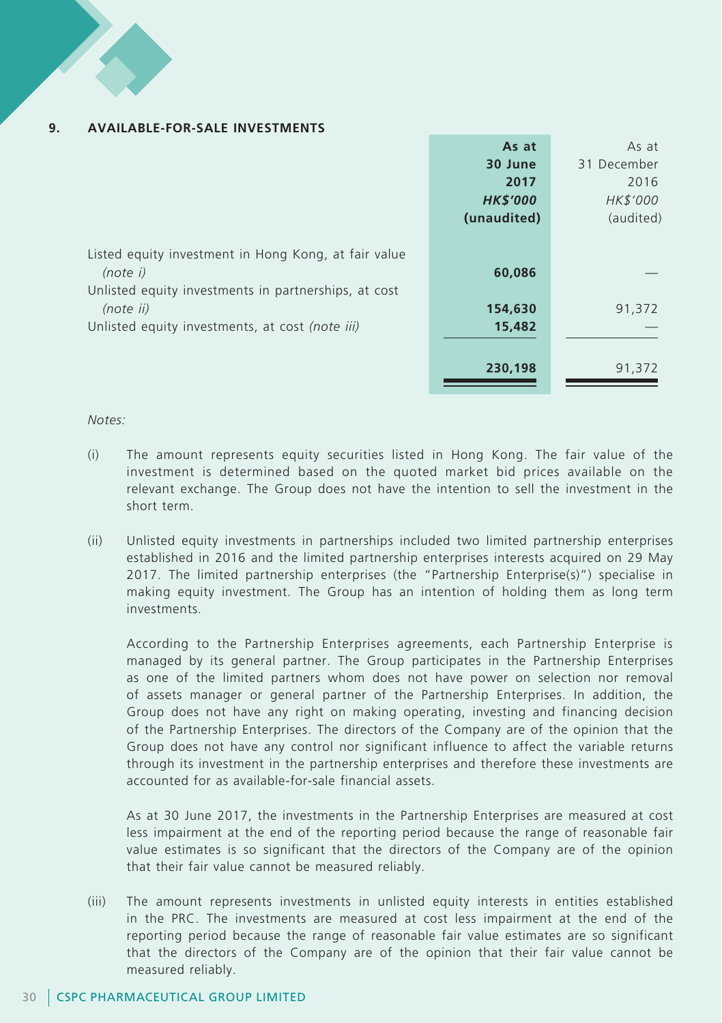#### **9. AVAILABLE-FOR-SALE INVESTMENTS**

|                                                                                                                          | As at           | As at       |
|--------------------------------------------------------------------------------------------------------------------------|-----------------|-------------|
|                                                                                                                          | 30 June         | 31 December |
|                                                                                                                          | 2017            | 2016        |
|                                                                                                                          | <b>HK\$'000</b> | HK\$'000    |
|                                                                                                                          | (unaudited)     | (audited)   |
| Listed equity investment in Hong Kong, at fair value<br>(note i)<br>Unlisted equity investments in partnerships, at cost | 60,086          |             |
| (note ii)                                                                                                                | 154,630         | 91,372      |
| Unlisted equity investments, at cost (note iii)                                                                          | 15,482          |             |
|                                                                                                                          | 230,198         | 91,372      |

#### *Notes:*

- (i) The amount represents equity securities listed in Hong Kong. The fair value of the investment is determined based on the quoted market bid prices available on the relevant exchange. The Group does not have the intention to sell the investment in the short term.
- (ii) Unlisted equity investments in partnerships included two limited partnership enterprises established in 2016 and the limited partnership enterprises interests acquired on 29 May 2017. The limited partnership enterprises (the "Partnership Enterprise(s)") specialise in making equity investment. The Group has an intention of holding them as long term investments.

According to the Partnership Enterprises agreements, each Partnership Enterprise is managed by its general partner. The Group participates in the Partnership Enterprises as one of the limited partners whom does not have power on selection nor removal of assets manager or general partner of the Partnership Enterprises. In addition, the Group does not have any right on making operating, investing and financing decision of the Partnership Enterprises. The directors of the Company are of the opinion that the Group does not have any control nor significant influence to affect the variable returns through its investment in the partnership enterprises and therefore these investments are accounted for as available-for-sale financial assets.

As at 30 June 2017, the investments in the Partnership Enterprises are measured at cost less impairment at the end of the reporting period because the range of reasonable fair value estimates is so significant that the directors of the Company are of the opinion that their fair value cannot be measured reliably.

(iii) The amount represents investments in unlisted equity interests in entities established in the PRC. The investments are measured at cost less impairment at the end of the reporting period because the range of reasonable fair value estimates are so significant that the directors of the Company are of the opinion that their fair value cannot be measured reliably.

### 30 CSPC PHARMACEUTICAL GROUP LIMITED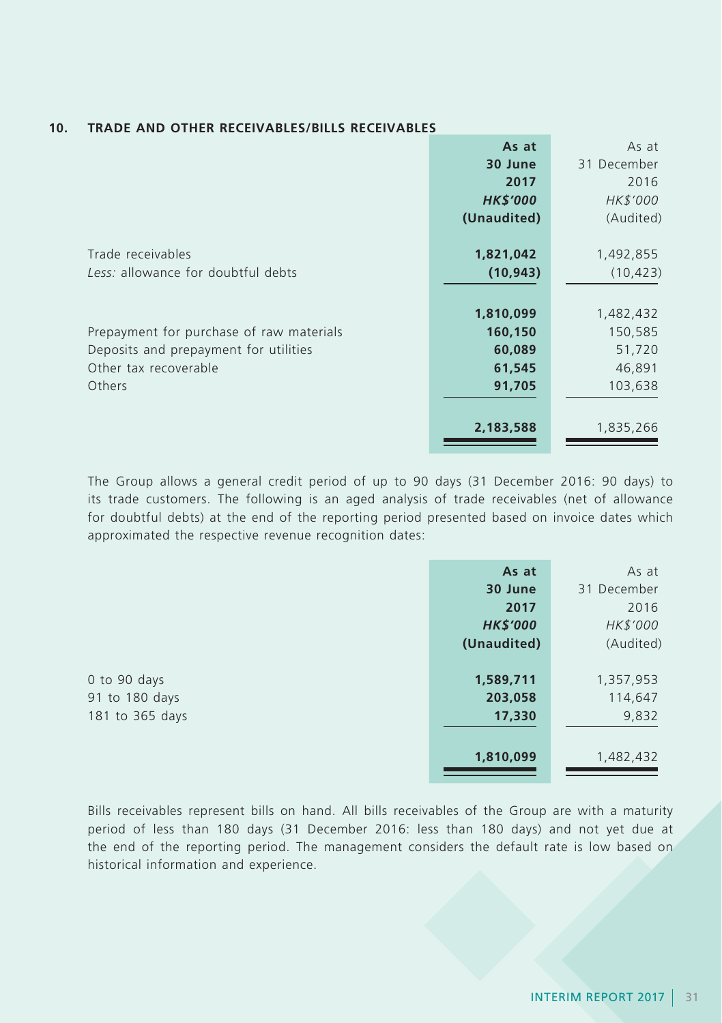| <b>TRADE AND OTHER RECEIVABLES/BILLS RECEIVABLES</b> | 10. |  |  |  |  |  |
|------------------------------------------------------|-----|--|--|--|--|--|
|------------------------------------------------------|-----|--|--|--|--|--|

|                                          | As at           | As at       |
|------------------------------------------|-----------------|-------------|
|                                          | 30 June         | 31 December |
|                                          | 2017            | 2016        |
|                                          | <b>HK\$'000</b> | HK\$'000    |
|                                          | (Unaudited)     | (Audited)   |
| Trade receivables                        | 1,821,042       | 1,492,855   |
| Less: allowance for doubtful debts       | (10, 943)       | (10, 423)   |
|                                          |                 |             |
|                                          | 1,810,099       | 1,482,432   |
| Prepayment for purchase of raw materials | 160,150         | 150,585     |
| Deposits and prepayment for utilities    | 60,089          | 51,720      |
| Other tax recoverable                    | 61,545          | 46,891      |
| Others                                   | 91,705          | 103,638     |
|                                          |                 |             |
|                                          | 2,183,588       | 1,835,266   |

The Group allows a general credit period of up to 90 days (31 December 2016: 90 days) to its trade customers. The following is an aged analysis of trade receivables (net of allowance for doubtful debts) at the end of the reporting period presented based on invoice dates which approximated the respective revenue recognition dates:

|                 | As at           | As at       |
|-----------------|-----------------|-------------|
|                 | 30 June         | 31 December |
|                 | 2017            | 2016        |
|                 | <b>HK\$'000</b> | HK\$'000    |
|                 | (Unaudited)     | (Audited)   |
|                 |                 |             |
| 0 to 90 days    | 1,589,711       | 1,357,953   |
| 91 to 180 days  | 203,058         | 114,647     |
| 181 to 365 days | 17,330          | 9,832       |
|                 |                 |             |
|                 | 1,810,099       | 1,482,432   |

Bills receivables represent bills on hand. All bills receivables of the Group are with a maturity period of less than 180 days (31 December 2016: less than 180 days) and not yet due at the end of the reporting period. The management considers the default rate is low based on historical information and experience.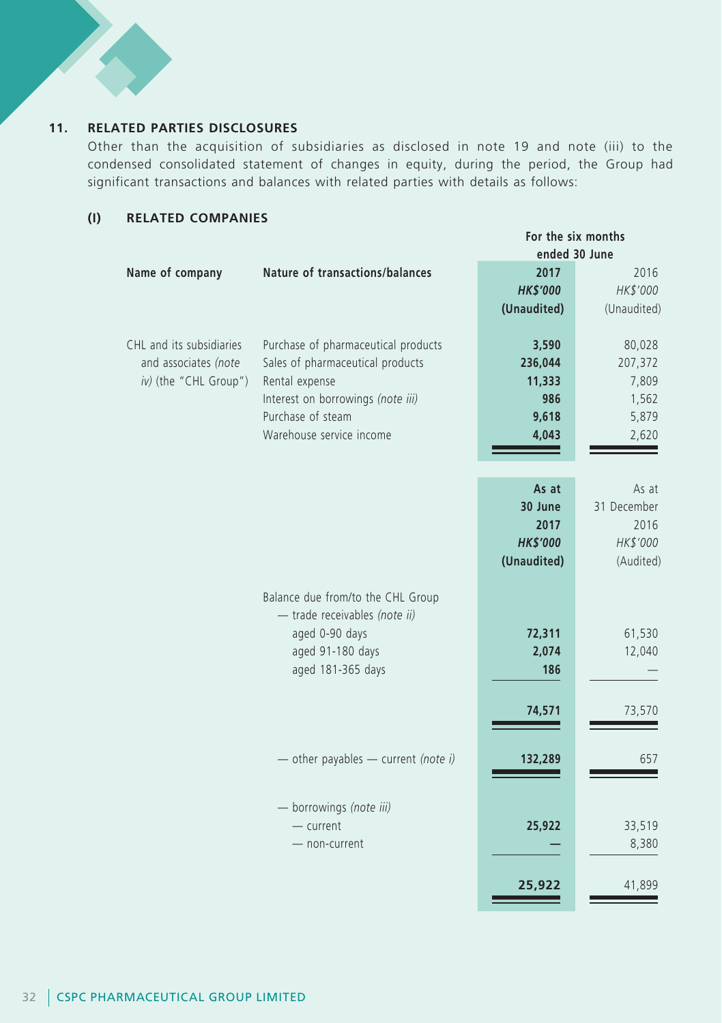## **11. RELATED PARTIES DISCLOSURES**

Other than the acquisition of subsidiaries as disclosed in note 19 and note (iii) to the condensed consolidated statement of changes in equity, during the period, the Group had significant transactions and balances with related parties with details as follows:

## **(I) RELATED COMPANIES**

|                                                                           |                                                                                                                                                                                 | For the six months<br>ended 30 June                        |                                                       |
|---------------------------------------------------------------------------|---------------------------------------------------------------------------------------------------------------------------------------------------------------------------------|------------------------------------------------------------|-------------------------------------------------------|
| Name of company                                                           | Nature of transactions/balances                                                                                                                                                 | 2017<br><b>HK\$'000</b><br>(Unaudited)                     | 2016<br>HK\$'000<br>(Unaudited)                       |
| CHL and its subsidiaries<br>and associates (note<br>iv) (the "CHL Group") | Purchase of pharmaceutical products<br>Sales of pharmaceutical products<br>Rental expense<br>Interest on borrowings (note iii)<br>Purchase of steam<br>Warehouse service income | 3,590<br>236,044<br>11,333<br>986<br>9,618<br>4,043        | 80,028<br>207,372<br>7,809<br>1,562<br>5,879<br>2,620 |
|                                                                           |                                                                                                                                                                                 | As at<br>30 June<br>2017<br><b>HK\$'000</b><br>(Unaudited) | As at<br>31 December<br>2016<br>HK\$'000<br>(Audited) |
|                                                                           | Balance due from/to the CHL Group<br>- trade receivables (note ii)<br>aged 0-90 days<br>aged 91-180 days<br>aged 181-365 days                                                   | 72,311<br>2,074<br>186<br>74,571                           | 61,530<br>12,040<br>73,570                            |
|                                                                           | - other payables - current (note i)                                                                                                                                             | 132,289                                                    | 657                                                   |
|                                                                           | - borrowings (note iii)<br>- current<br>- non-current                                                                                                                           | 25,922                                                     | 33,519<br>8,380                                       |
|                                                                           |                                                                                                                                                                                 | 25,922                                                     | 41,899                                                |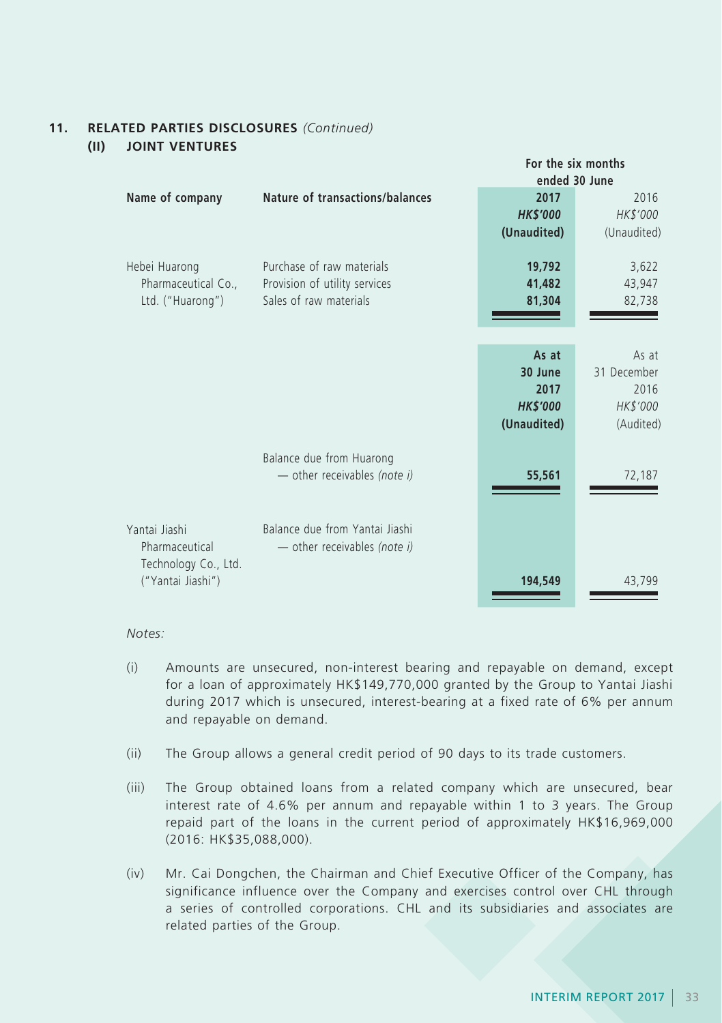#### **11. RELATED PARTIES DISCLOSURES** *(Continued)* **(II) JOINT VENTURES**

|                                                                              |                                                                                      |                                                            | For the six months<br>ended 30 June                   |
|------------------------------------------------------------------------------|--------------------------------------------------------------------------------------|------------------------------------------------------------|-------------------------------------------------------|
| Name of company                                                              | Nature of transactions/balances                                                      | 2017<br><b>HK\$'000</b><br>(Unaudited)                     | 2016<br>HK\$'000<br>(Unaudited)                       |
| Hebei Huarong<br>Pharmaceutical Co.,<br>Ltd. ("Huarong")                     | Purchase of raw materials<br>Provision of utility services<br>Sales of raw materials | 19,792<br>41,482<br>81,304                                 | 3,622<br>43,947<br>82,738                             |
|                                                                              |                                                                                      | As at<br>30 June<br>2017<br><b>HK\$'000</b><br>(Unaudited) | As at<br>31 December<br>2016<br>HK\$'000<br>(Audited) |
|                                                                              | Balance due from Huarong<br>$-$ other receivables (note i)                           | 55,561                                                     | 72,187                                                |
| Yantai Jiashi<br>Pharmaceutical<br>Technology Co., Ltd.<br>("Yantai Jiashi") | Balance due from Yantai Jiashi<br>- other receivables (note i)                       | 194,549                                                    | 43,799                                                |

*Notes:*

- (i) Amounts are unsecured, non-interest bearing and repayable on demand, except for a loan of approximately HK\$149,770,000 granted by the Group to Yantai Jiashi during 2017 which is unsecured, interest-bearing at a fixed rate of 6% per annum and repayable on demand.
- (ii) The Group allows a general credit period of 90 days to its trade customers.
- (iii) The Group obtained loans from a related company which are unsecured, bear interest rate of 4.6% per annum and repayable within 1 to 3 years. The Group repaid part of the loans in the current period of approximately HK\$16,969,000 (2016: HK\$35,088,000).
- (iv) Mr. Cai Dongchen, the Chairman and Chief Executive Officer of the Company, has significance influence over the Company and exercises control over CHL through a series of controlled corporations. CHL and its subsidiaries and associates are related parties of the Group.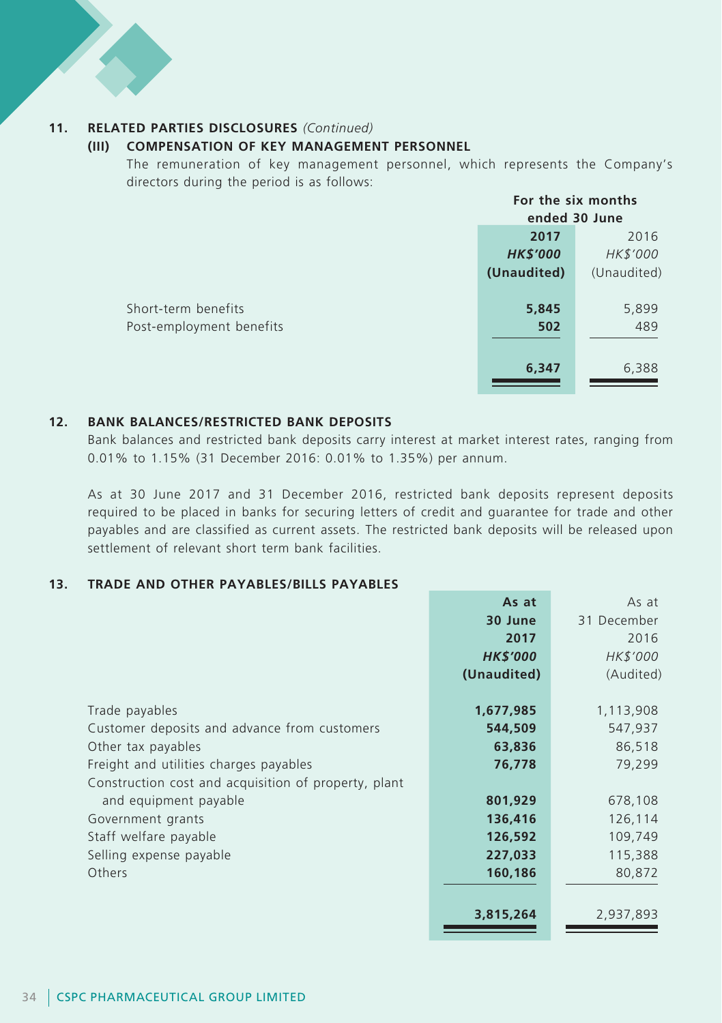#### **11. RELATED PARTIES DISCLOSURES** *(Continued)*

#### **(III) COMPENSATION OF KEY MANAGEMENT PERSONNEL**

The remuneration of key management personnel, which represents the Company's directors during the period is as follows:

|                          | For the six months |             |
|--------------------------|--------------------|-------------|
|                          | ended 30 June      |             |
|                          | 2017               | 2016        |
|                          | <b>HK\$'000</b>    | HK\$'000    |
|                          | (Unaudited)        | (Unaudited) |
|                          |                    |             |
| Short-term benefits      | 5,845              | 5,899       |
| Post-employment benefits | 502                | 489         |
|                          |                    |             |
|                          | 6,347              | 6,388       |
|                          |                    |             |

#### **12. BANK BALANCES/RESTRICTED BANK DEPOSITS**

Bank balances and restricted bank deposits carry interest at market interest rates, ranging from 0.01% to 1.15% (31 December 2016: 0.01% to 1.35%) per annum.

As at 30 June 2017 and 31 December 2016, restricted bank deposits represent deposits required to be placed in banks for securing letters of credit and guarantee for trade and other payables and are classified as current assets. The restricted bank deposits will be released upon settlement of relevant short term bank facilities.

#### **13. TRADE AND OTHER PAYABLES/BILLS PAYABLES**

|                                                      | As at           | As at       |
|------------------------------------------------------|-----------------|-------------|
|                                                      | 30 June         | 31 December |
|                                                      | 2017            | 2016        |
|                                                      | <b>HK\$'000</b> | HK\$'000    |
|                                                      | (Unaudited)     | (Audited)   |
|                                                      |                 |             |
| Trade payables                                       | 1,677,985       | 1,113,908   |
| Customer deposits and advance from customers         | 544,509         | 547,937     |
| Other tax payables                                   | 63,836          | 86,518      |
| Freight and utilities charges payables               | 76,778          | 79,299      |
| Construction cost and acquisition of property, plant |                 |             |
| and equipment payable                                | 801,929         | 678,108     |
| Government grants                                    | 136,416         | 126,114     |
| Staff welfare payable                                | 126,592         | 109,749     |
| Selling expense payable                              | 227,033         | 115,388     |
| Others                                               | 160,186         | 80,872      |
|                                                      |                 |             |
|                                                      | 3,815,264       | 2,937,893   |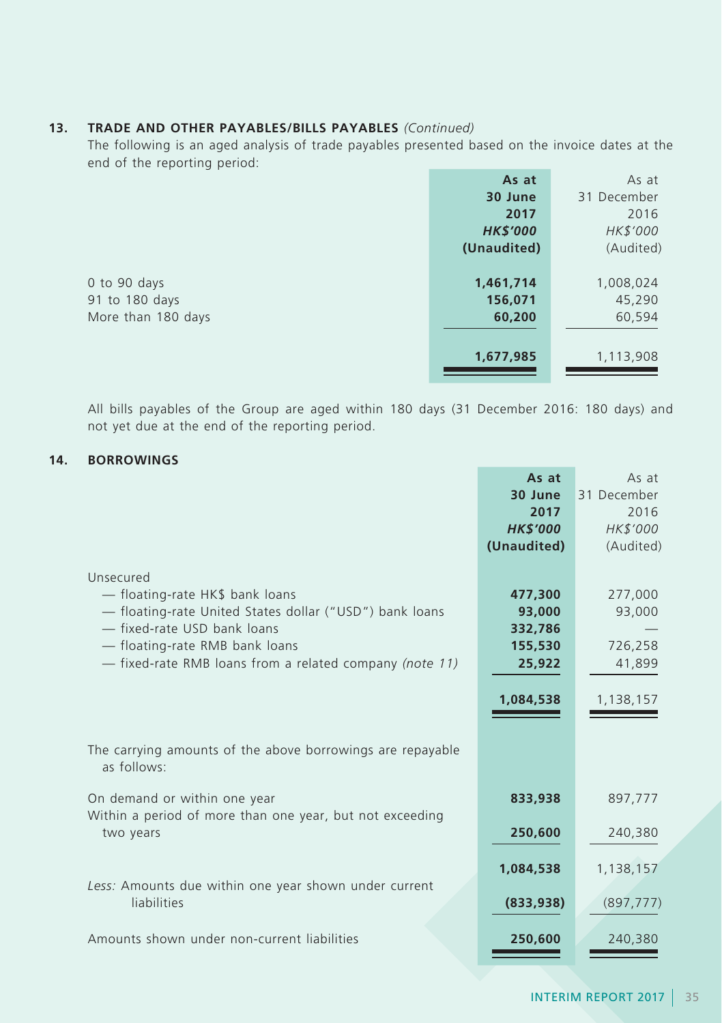## **13. TRADE AND OTHER PAYABLES/BILLS PAYABLES** *(Continued)*

The following is an aged analysis of trade payables presented based on the invoice dates at the end of the reporting period:

|                    | As at           | As at       |
|--------------------|-----------------|-------------|
|                    | 30 June         | 31 December |
|                    | 2017            | 2016        |
|                    | <b>HK\$'000</b> | HK\$'000    |
|                    | (Unaudited)     | (Audited)   |
|                    |                 |             |
| 0 to 90 days       | 1,461,714       | 1,008,024   |
| 91 to 180 days     | 156,071         | 45,290      |
| More than 180 days | 60,200          | 60,594      |
|                    |                 |             |
|                    | 1,677,985       | 1,113,908   |
|                    |                 |             |

All bills payables of the Group are aged within 180 days (31 December 2016: 180 days) and not yet due at the end of the reporting period.

## **14. BORROWINGS**

|                                                                                                                                                                                                                                     | As at                                                          | As at                                               |
|-------------------------------------------------------------------------------------------------------------------------------------------------------------------------------------------------------------------------------------|----------------------------------------------------------------|-----------------------------------------------------|
|                                                                                                                                                                                                                                     | 30 June                                                        | 31 December                                         |
|                                                                                                                                                                                                                                     | 2017                                                           | 2016                                                |
|                                                                                                                                                                                                                                     | <b>HK\$'000</b>                                                | HK\$'000                                            |
|                                                                                                                                                                                                                                     | (Unaudited)                                                    | (Audited)                                           |
| Unsecured<br>- floating-rate HK\$ bank loans<br>- floating-rate United States dollar ("USD") bank loans<br>- fixed-rate USD bank loans<br>- floating-rate RMB bank loans<br>- fixed-rate RMB loans from a related company (note 11) | 477,300<br>93,000<br>332,786<br>155,530<br>25,922<br>1,084,538 | 277,000<br>93,000<br>726,258<br>41,899<br>1,138,157 |
| The carrying amounts of the above borrowings are repayable<br>as follows:                                                                                                                                                           |                                                                |                                                     |
| On demand or within one year                                                                                                                                                                                                        | 833,938                                                        | 897,777                                             |
| Within a period of more than one year, but not exceeding<br>two years                                                                                                                                                               | 250,600                                                        | 240,380                                             |
|                                                                                                                                                                                                                                     | 1,084,538                                                      | 1,138,157                                           |
| Less: Amounts due within one year shown under current<br>liabilities                                                                                                                                                                | (833,938)                                                      | (897, 777)                                          |
| Amounts shown under non-current liabilities                                                                                                                                                                                         | 250,600                                                        | 240,380                                             |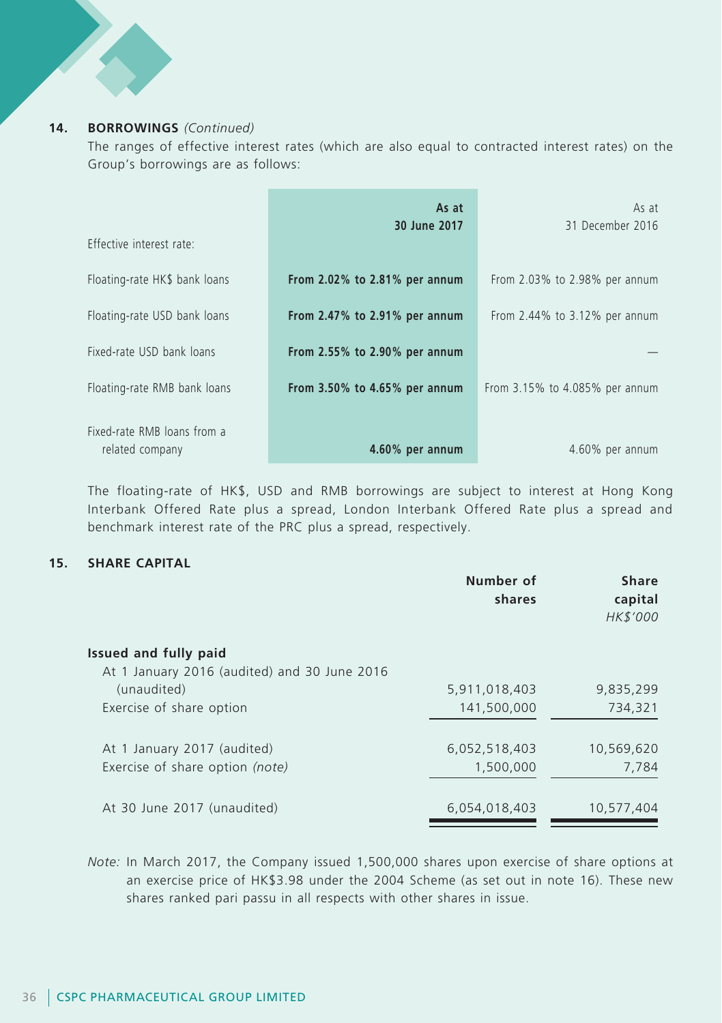#### **14. BORROWINGS** *(Continued)*

The ranges of effective interest rates (which are also equal to contracted interest rates) on the Group's borrowings are as follows:

|                                                | As at<br>30 June 2017               | As at<br>31 December 2016           |
|------------------------------------------------|-------------------------------------|-------------------------------------|
| Effective interest rate:                       |                                     |                                     |
| Floating-rate HK\$ bank loans                  | From $2.02\%$ to $2.81\%$ per annum | From $2.03\%$ to $2.98\%$ per annum |
| Floating-rate USD bank loans                   | From $2.47\%$ to $2.91\%$ per annum | From $2.44\%$ to $3.12\%$ per annum |
| Fixed-rate USD bank loans                      | From 2.55% to 2.90% per annum       |                                     |
| Floating-rate RMB bank loans                   | From $3.50\%$ to $4.65\%$ per annum | From 3.15% to 4.085% per annum      |
| Fixed-rate RMB loans from a<br>related company | 4.60% per annum                     | 4.60% per annum                     |

The floating-rate of HK\$, USD and RMB borrowings are subject to interest at Hong Kong Interbank Offered Rate plus a spread, London Interbank Offered Rate plus a spread and benchmark interest rate of the PRC plus a spread, respectively.

#### **15. SHARE CAPITAL**

|                                              | Number of<br>shares | <b>Share</b><br>capital<br>HK\$'000 |
|----------------------------------------------|---------------------|-------------------------------------|
| Issued and fully paid                        |                     |                                     |
| At 1 January 2016 (audited) and 30 June 2016 |                     |                                     |
| (unaudited)                                  | 5,911,018,403       | 9,835,299                           |
| Exercise of share option                     | 141,500,000         | 734,321                             |
|                                              |                     |                                     |
| At 1 January 2017 (audited)                  | 6,052,518,403       | 10,569,620                          |
| Exercise of share option (note)              | 1,500,000           | 7,784                               |
|                                              |                     |                                     |
| At 30 June 2017 (unaudited)                  | 6,054,018,403       | 10,577,404                          |
|                                              |                     |                                     |

*Note:* In March 2017, the Company issued 1,500,000 shares upon exercise of share options at an exercise price of HK\$3.98 under the 2004 Scheme (as set out in note 16). These new shares ranked pari passu in all respects with other shares in issue.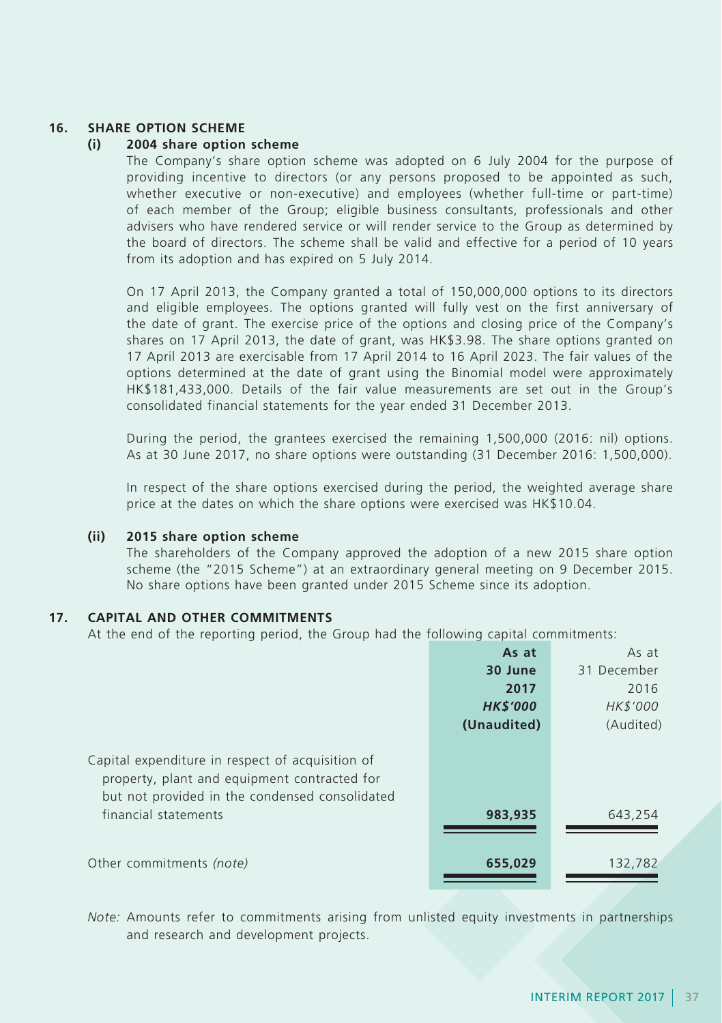### **16. SHARE OPTION SCHEME**

#### **(i) 2004 share option scheme**

The Company's share option scheme was adopted on 6 July 2004 for the purpose of providing incentive to directors (or any persons proposed to be appointed as such, whether executive or non-executive) and employees (whether full-time or part-time) of each member of the Group; eligible business consultants, professionals and other advisers who have rendered service or will render service to the Group as determined by the board of directors. The scheme shall be valid and effective for a period of 10 years from its adoption and has expired on 5 July 2014.

On 17 April 2013, the Company granted a total of 150,000,000 options to its directors and eligible employees. The options granted will fully vest on the first anniversary of the date of grant. The exercise price of the options and closing price of the Company's shares on 17 April 2013, the date of grant, was HK\$3.98. The share options granted on 17 April 2013 are exercisable from 17 April 2014 to 16 April 2023. The fair values of the options determined at the date of grant using the Binomial model were approximately HK\$181,433,000. Details of the fair value measurements are set out in the Group's consolidated financial statements for the year ended 31 December 2013.

During the period, the grantees exercised the remaining 1,500,000 (2016: nil) options. As at 30 June 2017, no share options were outstanding (31 December 2016: 1,500,000).

In respect of the share options exercised during the period, the weighted average share price at the dates on which the share options were exercised was HK\$10.04.

#### **(ii) 2015 share option scheme**

The shareholders of the Company approved the adoption of a new 2015 share option scheme (the "2015 Scheme") at an extraordinary general meeting on 9 December 2015. No share options have been granted under 2015 Scheme since its adoption.

#### **17. CAPITAL AND OTHER COMMITMENTS**

At the end of the reporting period, the Group had the following capital commitments:

|                                                                                                                                                    | As at           | As at       |
|----------------------------------------------------------------------------------------------------------------------------------------------------|-----------------|-------------|
|                                                                                                                                                    | 30 June         | 31 December |
|                                                                                                                                                    | 2017            | 2016        |
|                                                                                                                                                    | <b>HK\$'000</b> | HK\$'000    |
|                                                                                                                                                    | (Unaudited)     | (Audited)   |
| Capital expenditure in respect of acquisition of<br>property, plant and equipment contracted for<br>but not provided in the condensed consolidated |                 |             |
| financial statements                                                                                                                               | 983,935         | 643,254     |
| Other commitments (note)                                                                                                                           | 655,029         | 132,782     |

*Note:* Amounts refer to commitments arising from unlisted equity investments in partnerships and research and development projects.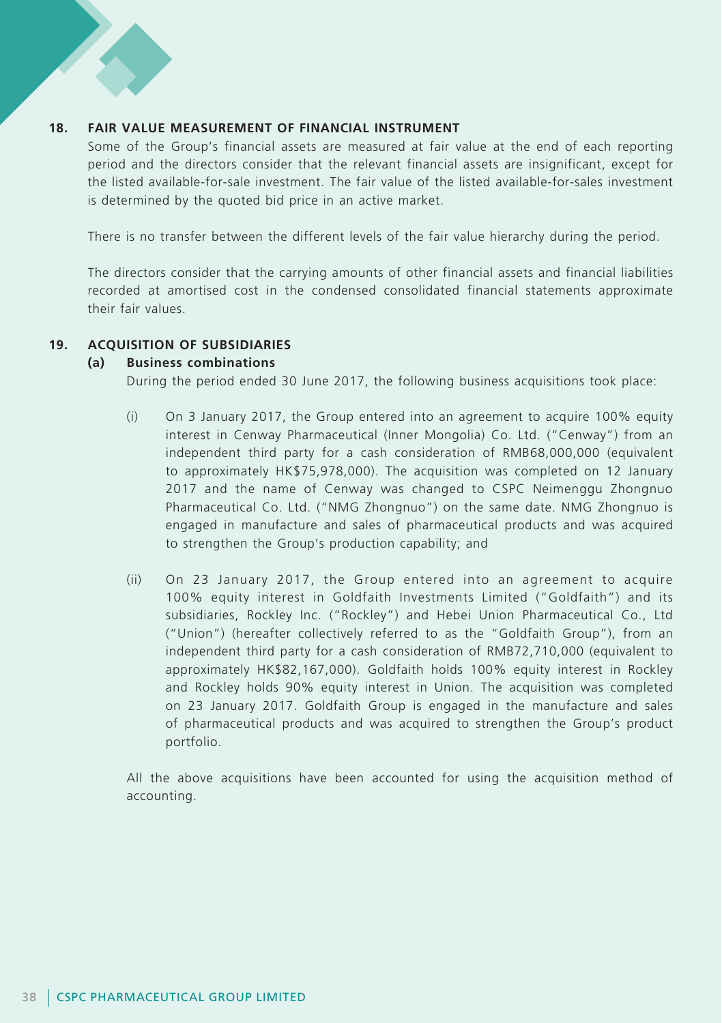### **18. FAIR VALUE MEASUREMENT OF FINANCIAL INSTRUMENT**

Some of the Group's financial assets are measured at fair value at the end of each reporting period and the directors consider that the relevant financial assets are insignificant, except for the listed available-for-sale investment. The fair value of the listed available-for-sales investment is determined by the quoted bid price in an active market.

There is no transfer between the different levels of the fair value hierarchy during the period.

The directors consider that the carrying amounts of other financial assets and financial liabilities recorded at amortised cost in the condensed consolidated financial statements approximate their fair values.

#### **19. ACQUISITION OF SUBSIDIARIES**

#### **(a) Business combinations**

During the period ended 30 June 2017, the following business acquisitions took place:

- (i) On 3 January 2017, the Group entered into an agreement to acquire 100% equity interest in Cenway Pharmaceutical (Inner Mongolia) Co. Ltd. ("Cenway") from an independent third party for a cash consideration of RMB68,000,000 (equivalent to approximately HK\$75,978,000). The acquisition was completed on 12 January 2017 and the name of Cenway was changed to CSPC Neimenggu Zhongnuo Pharmaceutical Co. Ltd. ("NMG Zhongnuo") on the same date. NMG Zhongnuo is engaged in manufacture and sales of pharmaceutical products and was acquired to strengthen the Group's production capability; and
- (ii) On 23 January 2017, the Group entered into an agreement to acquire 100% equity interest in Goldfaith Investments Limited ("Goldfaith") and its subsidiaries, Rockley Inc. ("Rockley") and Hebei Union Pharmaceutical Co., Ltd ("Union") (hereafter collectively referred to as the "Goldfaith Group"), from an independent third party for a cash consideration of RMB72,710,000 (equivalent to approximately HK\$82,167,000). Goldfaith holds 100% equity interest in Rockley and Rockley holds 90% equity interest in Union. The acquisition was completed on 23 January 2017. Goldfaith Group is engaged in the manufacture and sales of pharmaceutical products and was acquired to strengthen the Group's product portfolio.

All the above acquisitions have been accounted for using the acquisition method of accounting.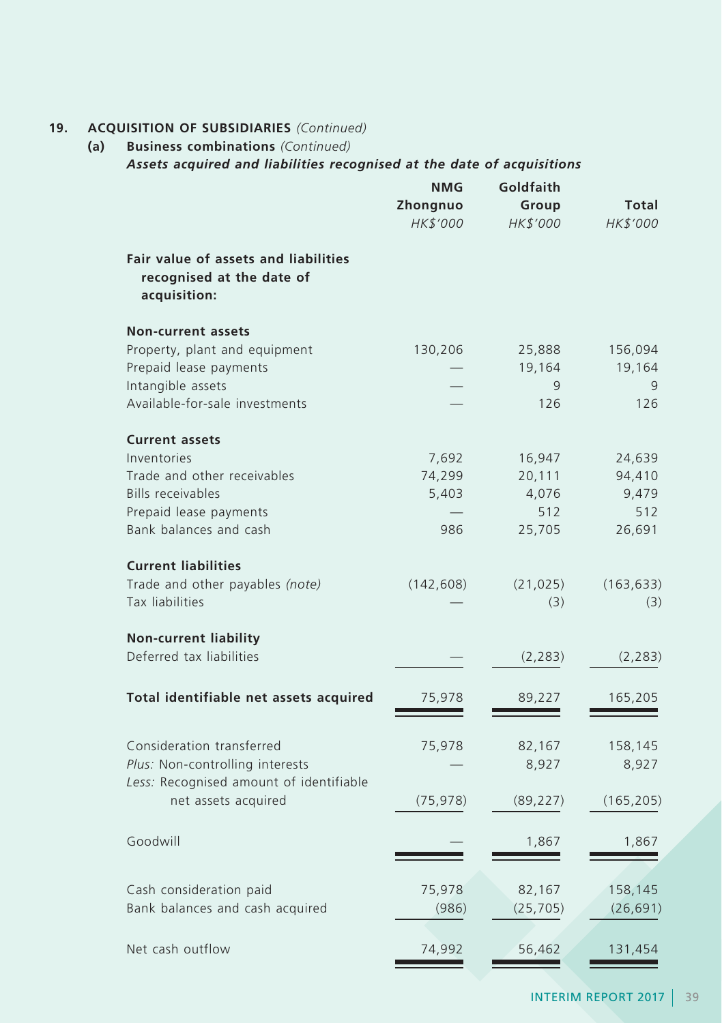## **19. ACQUISITION OF SUBSIDIARIES** *(Continued)*

## **(a) Business combinations** *(Continued) Assets acquired and liabilities recognised at the date of acquisitions*

|                                                                                   | NMG<br>Zhongnuo<br>HK\$'000 | Goldfaith<br>Group<br>HK\$'000 | <b>Total</b><br>HK\$'000 |
|-----------------------------------------------------------------------------------|-----------------------------|--------------------------------|--------------------------|
| Fair value of assets and liabilities<br>recognised at the date of<br>acquisition: |                             |                                |                          |
| <b>Non-current assets</b>                                                         |                             |                                |                          |
| Property, plant and equipment                                                     | 130,206                     | 25,888                         | 156,094                  |
| Prepaid lease payments                                                            |                             | 19,164                         | 19,164                   |
| Intangible assets<br>Available-for-sale investments                               |                             | 9<br>126                       | 9<br>126                 |
| <b>Current assets</b>                                                             |                             |                                |                          |
| Inventories                                                                       | 7,692                       | 16,947                         | 24,639                   |
| Trade and other receivables                                                       | 74,299                      | 20,111                         | 94,410                   |
| <b>Bills receivables</b>                                                          | 5,403                       | 4,076                          | 9,479                    |
| Prepaid lease payments                                                            |                             | 512                            | 512                      |
| Bank balances and cash                                                            | 986                         | 25,705                         | 26,691                   |
| <b>Current liabilities</b>                                                        |                             |                                |                          |
| Trade and other payables (note)                                                   | (142, 608)                  | (21, 025)                      | (163, 633)               |
| Tax liabilities                                                                   |                             | (3)                            | (3)                      |
| <b>Non-current liability</b>                                                      |                             |                                |                          |
| Deferred tax liabilities                                                          |                             | (2, 283)                       | (2, 283)                 |
| Total identifiable net assets acquired                                            | 75,978                      | 89,227                         | 165,205                  |
| Consideration transferred                                                         | 75,978                      | 82,167                         | 158,145                  |
| Plus: Non-controlling interests                                                   |                             | 8,927                          | 8,927                    |
| Less: Recognised amount of identifiable<br>net assets acquired                    | (75, 978)                   | (89, 227)                      | (165, 205)               |
| Goodwill                                                                          |                             | 1,867                          | 1,867                    |
| Cash consideration paid                                                           | 75,978                      | 82,167                         | 158,145                  |
| Bank balances and cash acquired                                                   | (986)                       | (25, 705)                      | (26, 691)                |
|                                                                                   |                             |                                |                          |
| Net cash outflow                                                                  | 74,992                      | 56,462                         | 131,454                  |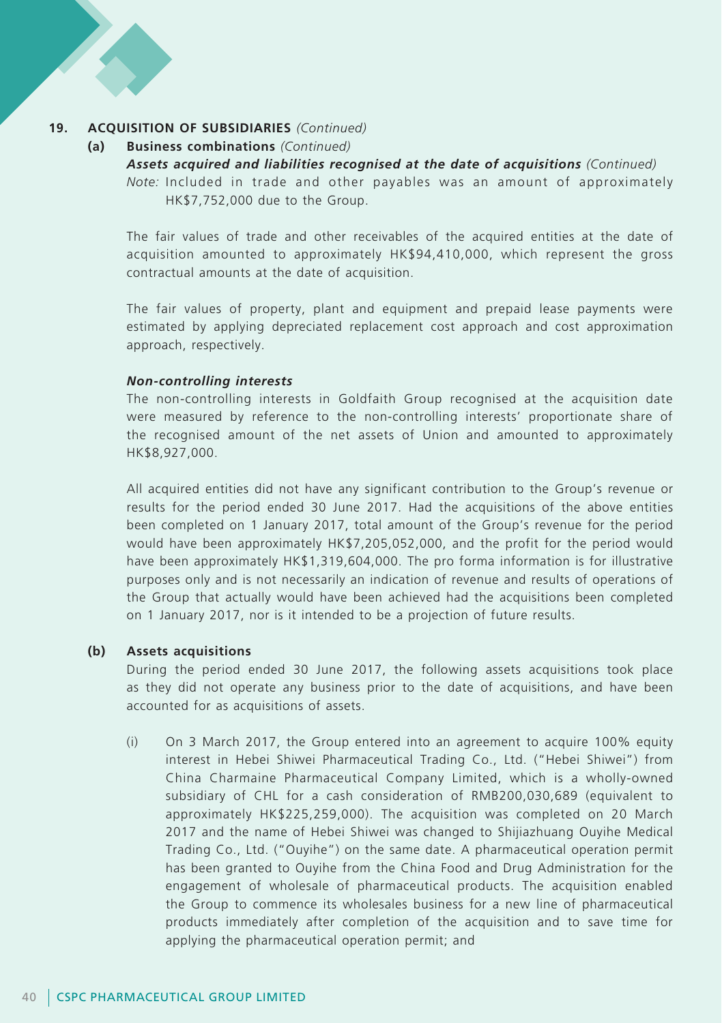#### **19. ACQUISITION OF SUBSIDIARIES** *(Continued)*

#### **(a) Business combinations** *(Continued)*

*Assets acquired and liabilities recognised at the date of acquisitions (Continued) Note:* Included in trade and other payables was an amount of approximately HK\$7,752,000 due to the Group.

The fair values of trade and other receivables of the acquired entities at the date of acquisition amounted to approximately HK\$94,410,000, which represent the gross contractual amounts at the date of acquisition.

The fair values of property, plant and equipment and prepaid lease payments were estimated by applying depreciated replacement cost approach and cost approximation approach, respectively.

#### *Non-controlling interests*

The non-controlling interests in Goldfaith Group recognised at the acquisition date were measured by reference to the non-controlling interests' proportionate share of the recognised amount of the net assets of Union and amounted to approximately HK\$8,927,000.

All acquired entities did not have any significant contribution to the Group's revenue or results for the period ended 30 June 2017. Had the acquisitions of the above entities been completed on 1 January 2017, total amount of the Group's revenue for the period would have been approximately HK\$7,205,052,000, and the profit for the period would have been approximately HK\$1,319,604,000. The pro forma information is for illustrative purposes only and is not necessarily an indication of revenue and results of operations of the Group that actually would have been achieved had the acquisitions been completed on 1 January 2017, nor is it intended to be a projection of future results.

#### **(b) Assets acquisitions**

During the period ended 30 June 2017, the following assets acquisitions took place as they did not operate any business prior to the date of acquisitions, and have been accounted for as acquisitions of assets.

(i) On 3 March 2017, the Group entered into an agreement to acquire 100% equity interest in Hebei Shiwei Pharmaceutical Trading Co., Ltd. ("Hebei Shiwei") from China Charmaine Pharmaceutical Company Limited, which is a wholly-owned subsidiary of CHL for a cash consideration of RMB200,030,689 (equivalent to approximately HK\$225,259,000). The acquisition was completed on 20 March 2017 and the name of Hebei Shiwei was changed to Shijiazhuang Ouyihe Medical Trading Co., Ltd. ("Ouyihe") on the same date. A pharmaceutical operation permit has been granted to Ouyihe from the China Food and Drug Administration for the engagement of wholesale of pharmaceutical products. The acquisition enabled the Group to commence its wholesales business for a new line of pharmaceutical products immediately after completion of the acquisition and to save time for applying the pharmaceutical operation permit; and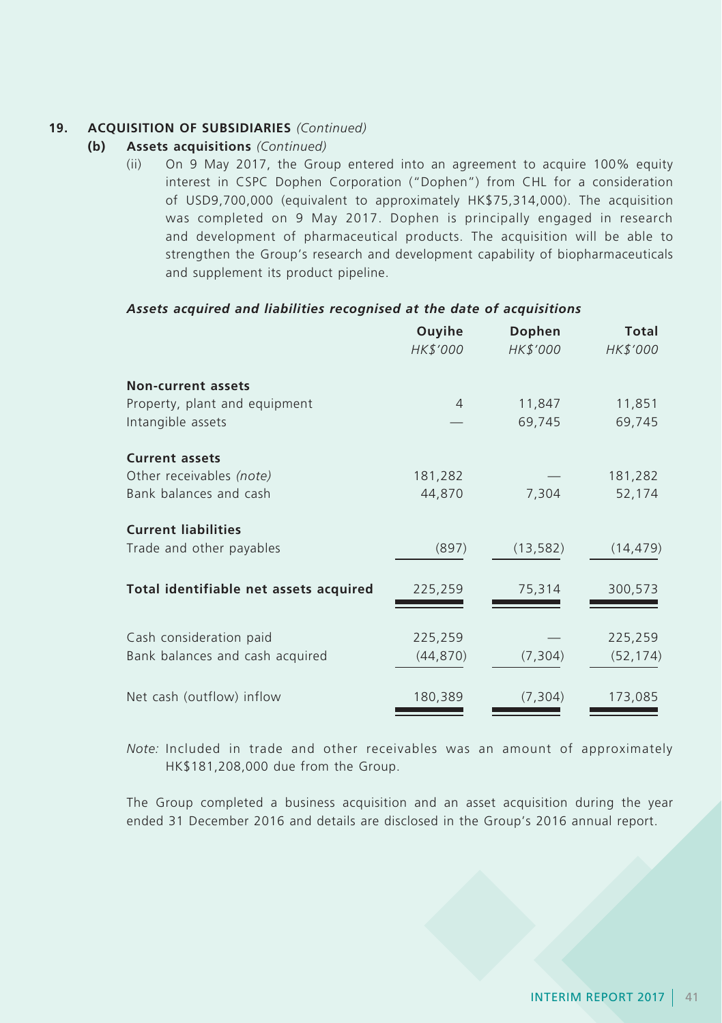### **19. ACQUISITION OF SUBSIDIARIES** *(Continued)*

- **(b) Assets acquisitions** *(Continued)*
	- (ii) On 9 May 2017, the Group entered into an agreement to acquire 100% equity interest in CSPC Dophen Corporation ("Dophen") from CHL for a consideration of USD9,700,000 (equivalent to approximately HK\$75,314,000). The acquisition was completed on 9 May 2017. Dophen is principally engaged in research and development of pharmaceutical products. The acquisition will be able to strengthen the Group's research and development capability of biopharmaceuticals and supplement its product pipeline.

#### *Assets acquired and liabilities recognised at the date of acquisitions*

|                                        | Ouyihe<br>HK\$'000 | Dophen<br>HK\$'000 | Total<br>HK\$'000 |
|----------------------------------------|--------------------|--------------------|-------------------|
| <b>Non-current assets</b>              |                    |                    |                   |
| Property, plant and equipment          | $\overline{4}$     | 11,847             | 11,851            |
| Intangible assets                      |                    | 69,745             | 69,745            |
| <b>Current assets</b>                  |                    |                    |                   |
| Other receivables (note)               | 181,282            |                    | 181,282           |
| Bank balances and cash                 | 44,870             | 7,304              | 52,174            |
| <b>Current liabilities</b>             |                    |                    |                   |
| Trade and other payables               | (897)              | (13, 582)          | (14, 479)         |
| Total identifiable net assets acquired | 225,259            | 75,314             | 300,573           |
| Cash consideration paid                | 225,259            |                    | 225,259           |
| Bank balances and cash acquired        | (44, 870)          | (7, 304)           | (52, 174)         |
| Net cash (outflow) inflow              | 180,389            | (7, 304)           | 173,085           |

*Note:* Included in trade and other receivables was an amount of approximately HK\$181,208,000 due from the Group.

The Group completed a business acquisition and an asset acquisition during the year ended 31 December 2016 and details are disclosed in the Group's 2016 annual report.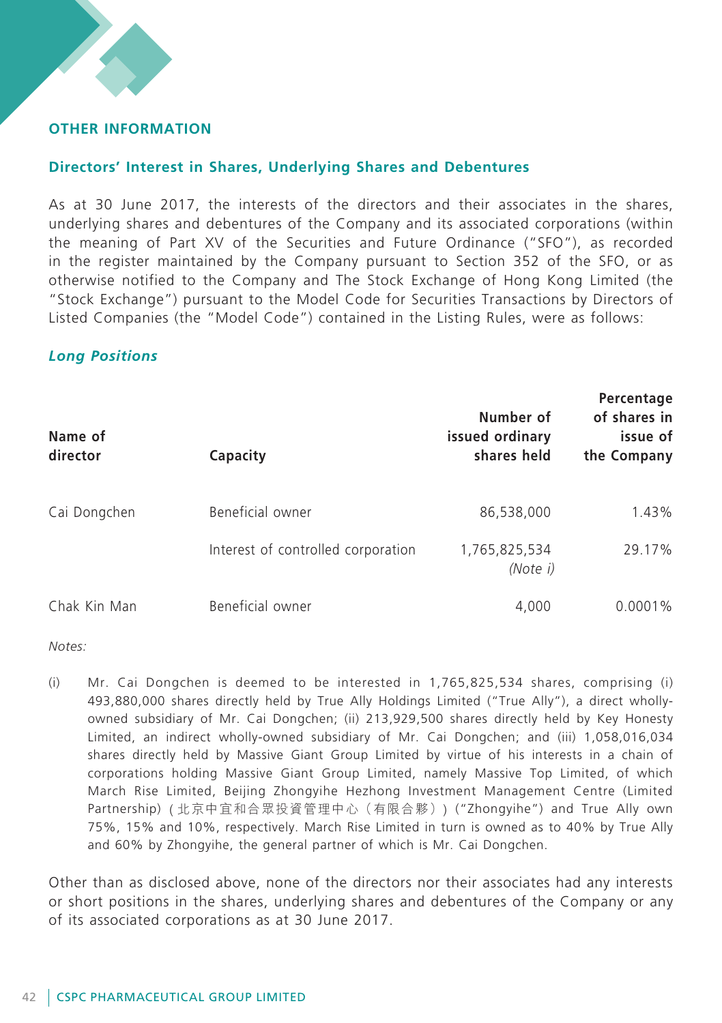## **Other Information**

### **Directors' Interest in Shares, Underlying Shares and Debentures**

As at 30 June 2017, the interests of the directors and their associates in the shares, underlying shares and debentures of the Company and its associated corporations (within the meaning of Part XV of the Securities and Future Ordinance ("SFO"), as recorded in the register maintained by the Company pursuant to Section 352 of the SFO, or as otherwise notified to the Company and The Stock Exchange of Hong Kong Limited (the "Stock Exchange") pursuant to the Model Code for Securities Transactions by Directors of Listed Companies (the "Model Code") contained in the Listing Rules, were as follows:

### *Long Positions*

| Name of<br>director | Capacity                           | Number of<br>issued ordinary<br>shares held | Percentage<br>of shares in<br>issue of<br>the Company |
|---------------------|------------------------------------|---------------------------------------------|-------------------------------------------------------|
| Cai Dongchen        | Beneficial owner                   | 86,538,000                                  | 1.43%                                                 |
|                     | Interest of controlled corporation | 1,765,825,534<br>(Note i)                   | 29.17%                                                |
| Chak Kin Man        | Beneficial owner                   | 4,000                                       | $0.0001\%$                                            |

*Notes:*

(i) Mr. Cai Dongchen is deemed to be interested in 1,765,825,534 shares, comprising (i) 493,880,000 shares directly held by True Ally Holdings Limited ("True Ally"), a direct whollyowned subsidiary of Mr. Cai Dongchen; (ii) 213,929,500 shares directly held by Key Honesty Limited, an indirect wholly-owned subsidiary of Mr. Cai Dongchen; and (iii) 1,058,016,034 shares directly held by Massive Giant Group Limited by virtue of his interests in a chain of corporations holding Massive Giant Group Limited, namely Massive Top Limited, of which March Rise Limited, Beijing Zhongyihe Hezhong Investment Management Centre (Limited Partnership) ( 北京中宜和合眾投資管理中心(有限合夥)) ("Zhongyihe") and True Ally own 75%, 15% and 10%, respectively. March Rise Limited in turn is owned as to 40% by True Ally and 60% by Zhongyihe, the general partner of which is Mr. Cai Dongchen.

Other than as disclosed above, none of the directors nor their associates had any interests or short positions in the shares, underlying shares and debentures of the Company or any of its associated corporations as at 30 June 2017.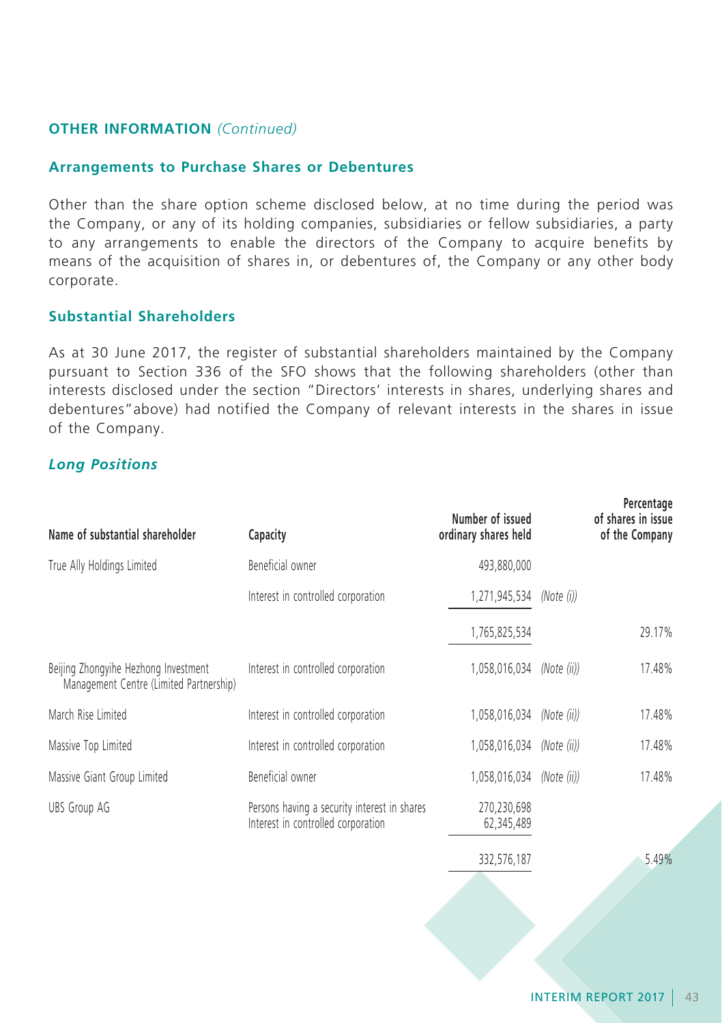### **Arrangements to Purchase Shares or Debentures**

Other than the share option scheme disclosed below, at no time during the period was the Company, or any of its holding companies, subsidiaries or fellow subsidiaries, a party to any arrangements to enable the directors of the Company to acquire benefits by means of the acquisition of shares in, or debentures of, the Company or any other body corporate.

## **Substantial Shareholders**

As at 30 June 2017, the register of substantial shareholders maintained by the Company pursuant to Section 336 of the SFO shows that the following shareholders (other than interests disclosed under the section "Directors' interests in shares, underlying shares and debentures"above) had notified the Company of relevant interests in the shares in issue of the Company.

### *Long Positions*

| Name of substantial shareholder                                                 | Capacity                                                                           | Number of issued<br>ordinary shares held |             | Percentage<br>of shares in issue<br>of the Company |
|---------------------------------------------------------------------------------|------------------------------------------------------------------------------------|------------------------------------------|-------------|----------------------------------------------------|
| True Ally Holdings Limited                                                      | Beneficial owner                                                                   | 493,880,000                              |             |                                                    |
|                                                                                 | Interest in controlled corporation                                                 | 1,271,945,534                            | (Note (i))  |                                                    |
|                                                                                 |                                                                                    | 1,765,825,534                            |             | 29.17%                                             |
| Beijing Zhongyihe Hezhong Investment<br>Management Centre (Limited Partnership) | Interest in controlled corporation                                                 | 1,058,016,034                            | (Note (ii)) | 17.48%                                             |
| March Rise Limited                                                              | Interest in controlled corporation                                                 | 1,058,016,034                            | (Note (ii)) | 17.48%                                             |
| Massive Top Limited                                                             | Interest in controlled corporation                                                 | 1,058,016,034                            | (Note (ii)) | 17.48%                                             |
| Massive Giant Group Limited                                                     | Beneficial owner                                                                   | 1,058,016,034                            | (Note (ii)) | 17.48%                                             |
| <b>UBS Group AG</b>                                                             | Persons having a security interest in shares<br>Interest in controlled corporation | 270,230,698<br>62,345,489                |             |                                                    |
|                                                                                 |                                                                                    | 332,576,187                              |             | 5.49%                                              |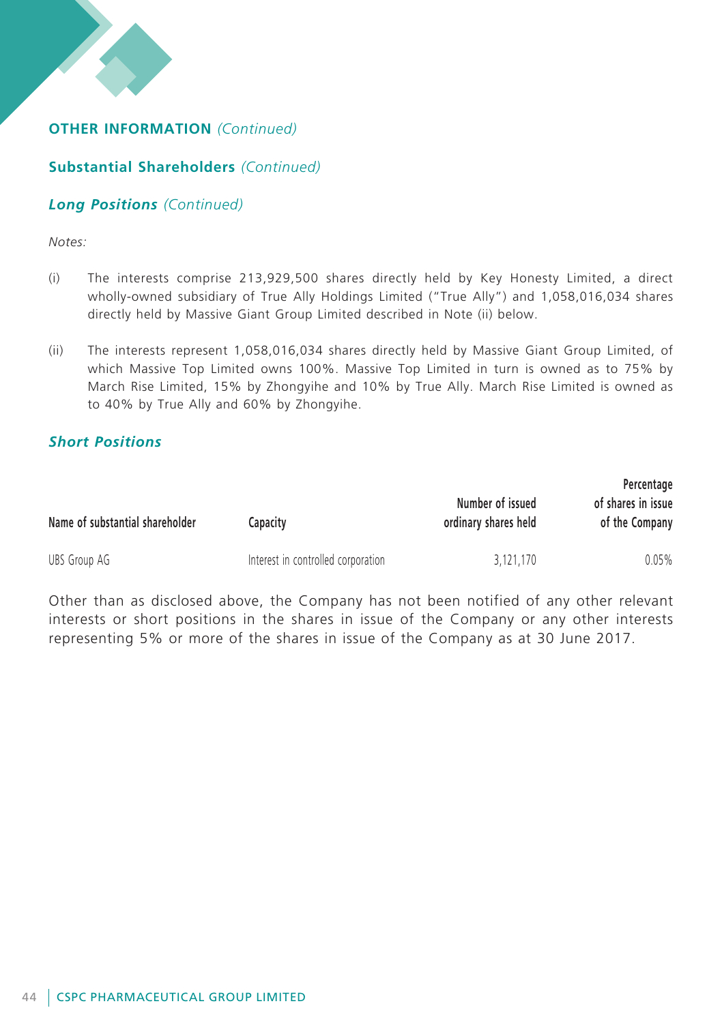## **Substantial Shareholders** *(Continued)*

## *Long Positions (Continued)*

*Notes:*

- (i) The interests comprise 213,929,500 shares directly held by Key Honesty Limited, a direct wholly-owned subsidiary of True Ally Holdings Limited ("True Ally") and 1,058,016,034 shares directly held by Massive Giant Group Limited described in Note (ii) below.
- (ii) The interests represent 1,058,016,034 shares directly held by Massive Giant Group Limited, of which Massive Top Limited owns 100%. Massive Top Limited in turn is owned as to 75% by March Rise Limited, 15% by Zhongyihe and 10% by True Ally. March Rise Limited is owned as to 40% by True Ally and 60% by Zhongyihe.

## *Short Positions*

| Name of substantial shareholder | Capacitv                           | Number of issued<br>ordinary shares held | Percentage<br>of shares in issue<br>of the Company |
|---------------------------------|------------------------------------|------------------------------------------|----------------------------------------------------|
| UBS Group AG                    | Interest in controlled corporation | 3.121.170                                | $0.05\%$                                           |

Other than as disclosed above, the Company has not been notified of any other relevant interests or short positions in the shares in issue of the Company or any other interests representing 5% or more of the shares in issue of the Company as at 30 June 2017.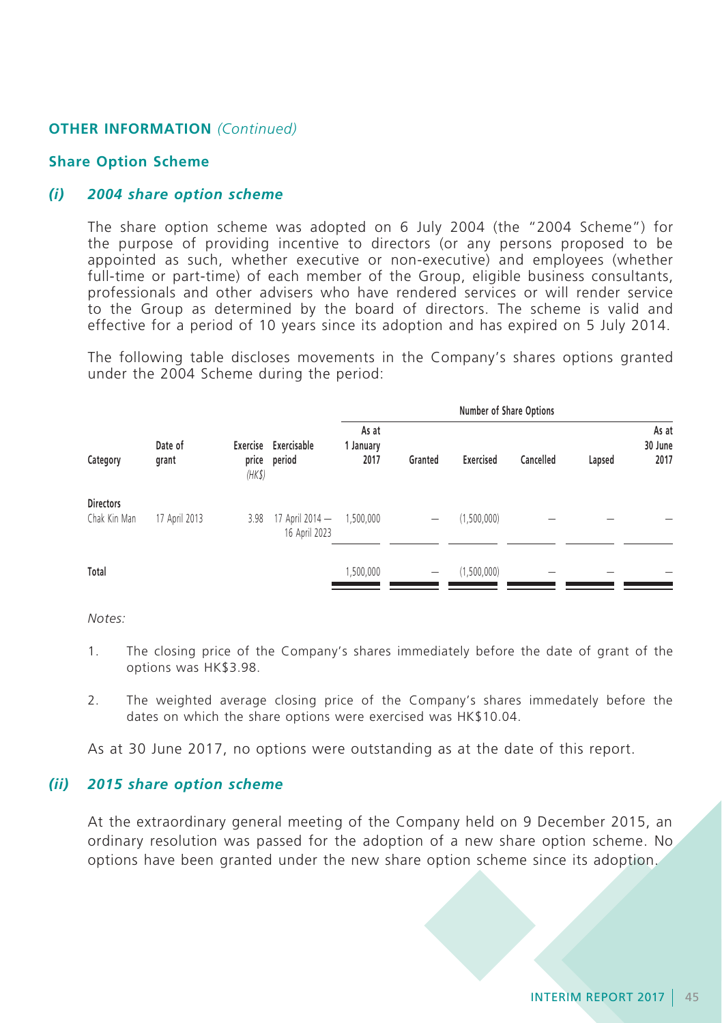#### **Share Option Scheme**

### *(i) 2004 share option scheme*

The share option scheme was adopted on 6 July 2004 (the "2004 Scheme") for the purpose of providing incentive to directors (or any persons proposed to be appointed as such, whether executive or non-executive) and employees (whether full-time or part-time) of each member of the Group, eligible business consultants, professionals and other advisers who have rendered services or will render service to the Group as determined by the board of directors. The scheme is valid and effective for a period of 10 years since its adoption and has expired on 5 July 2014.

The following table discloses movements in the Company's shares options granted under the 2004 Scheme during the period:

|                                  |                  |                                                |                                  | <b>Number of Share Options</b> |           |             |        |                          |  |
|----------------------------------|------------------|------------------------------------------------|----------------------------------|--------------------------------|-----------|-------------|--------|--------------------------|--|
| Category                         | Date of<br>grant | Exercise Exercisable<br>price period<br>(HK\$) | As at<br>1 January<br>2017       | Granted                        | Exercised | Cancelled   | Lapsed | As at<br>30 June<br>2017 |  |
| <b>Directors</b><br>Chak Kin Man | 17 April 2013    | 3.98                                           | 17 April 2014 -<br>16 April 2023 | 1,500,000                      | -         | (1,500,000) |        |                          |  |
| Total                            |                  |                                                |                                  | 1,500,000                      | -         | (1,500,000) | -      |                          |  |

*Notes:*

- 1. The closing price of the Company's shares immediately before the date of grant of the options was HK\$3.98.
- 2. The weighted average closing price of the Company's shares immedately before the dates on which the share options were exercised was HK\$10.04.

As at 30 June 2017, no options were outstanding as at the date of this report.

### *(ii) 2015 share option scheme*

At the extraordinary general meeting of the Company held on 9 December 2015, an ordinary resolution was passed for the adoption of a new share option scheme. No options have been granted under the new share option scheme since its adoption.